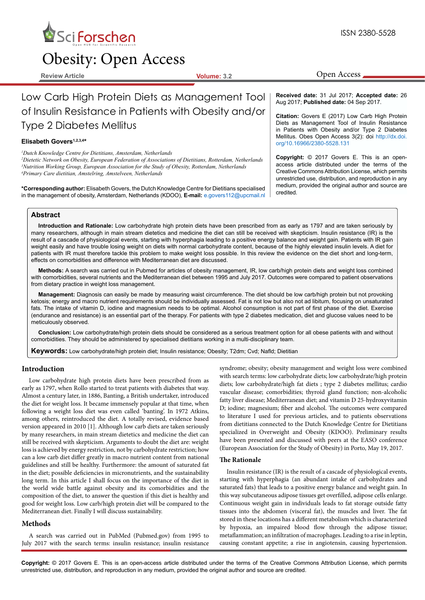

# Obesity: Open Access

**Review Article Volume: 3.2**

Open Access

## Low Carb High Protein Diets as Management Tool of Insulin Resistance in Patients with Obesity and/or Type 2 Diabetes Mellitus

## Elisabeth Govers<sup>1,2,3,4\*</sup>

*1 Dutch Knowledge Centre for Dietitians, Amsterdam, Netherlands*

*2 Dietetic Network on Obesity, European Federation of Associations of Dietitians, Rotterdam, Netherlands 3 Nutrition Working Group, European Association for the Study of Obesity, Rotterdam, Netherlands 4 Primary Care dietitian, Amstelring, Amstelveen, Netherlands*

credited. **\*Corresponding author:** Elisabeth Govers, the Dutch Knowledge Centre for Dietitians specialised in the management of obesity, Amsterdam, Netherlands (KDOO), **E-mail:** e.govers112@upcmail.nl

**Received date:** 31 Jul 2017; **Accepted date:** 26 Aug 2017; **Published date:** 04 Sep 2017.

**Citation:** Govers E (2017) Low Carb High Protein Diets as Management Tool of Insulin Resistance in Patients with Obesity and/or Type 2 Diabetes Mellitus. Obes Open Access 3(2): doi [http://dx.doi.](http://dx.doi.org/10.16966/2380-5528.131) [org/10.16966/2380-5528.131](http://dx.doi.org/10.16966/2380-5528.131)

**Copyright:** © 2017 Govers E. This is an openaccess article distributed under the terms of the Creative Commons Attribution License, which permits unrestricted use, distribution, and reproduction in any medium, provided the original author and source are

## **Abstract**

**Introduction and Rationale:** Low carbohydrate high protein diets have been prescribed from as early as 1797 and are taken seriously by many researchers, although in main stream dietetics and medicine the diet can still be received with skepticism. Insulin resistance (IR) is the result of a cascade of physiological events, starting with hyperphagia leading to a positive energy balance and weight gain. Patients with IR gain weight easily and have trouble losing weight on diets with normal carbohydrate content, because of the highly elevated insulin levels. A diet for patients with IR must therefore tackle this problem to make weight loss possible. In this review the evidence on the diet short and long-term, effects on comorbidities and difference with Mediterranean diet are discussed.

**Methods:** A search was carried out in Pubmed for articles of obesity management, IR, low carb/high protein diets and weight loss combined with comorbidities, several nutrients and the Mediterranean diet between 1995 and July 2017. Outcomes were compared to patient observations from dietary practice in weight loss management.

**Management:** Diagnosis can easily be made by measuring waist circumference. The diet should be low carb/high protein but not provoking ketosis; energy and macro nutrient requirements should be individually assessed. Fat is not low but also not ad libitum, focusing on unsaturated fats. The intake of vitamin D, iodine and magnesium needs to be optimal. Alcohol consumption is not part of first phase of the diet. Exercise (endurance and resistance) is an essential part of the therapy. For patients with type 2 diabetes medication, diet and glucose values need to be meticulously observed.

**Conclusion:** Low carbohydrate/high protein diets should be considered as a serious treatment option for all obese patients with and without comorbidities. They should be administered by specialised dietitians working in a multi-disciplinary team.

**Keywords:** Low carbohydrate/high protein diet; Insulin resistance; Obesity; T2dm; Cvd; Nafld; Dietitian

## **Introduction**

Low carbohydrate high protein diets have been prescribed from as early as 1797, when Rollo started to treat patients with diabetes that way. Almost a century later, in 1886, Banting, a British undertaker, introduced the diet for weight loss. It became immensely popular at that time, when following a weight loss diet was even called 'banting'. In 1972 Atkins, among others, reintroduced the diet. A totally revised, evidence based version appeared in 2010 [1]. Although low carb diets are taken seriously by many researchers, in main stream dietetics and medicine the diet can still be received with skepticism. Arguments to doubt the diet are: weight loss is achieved by energy restriction, not by carbohydrate restriction; how can a low carb diet differ greatly in macro nutrient content from national guidelines and still be healthy. Furthermore: the amount of saturated fat in the diet; possible deficiencies in micronutrients, and the sustainability long term. In this article I shall focus on the importance of the diet in the world wide battle against obesity and its comorbidities and the composition of the diet, to answer the question if this diet is healthy and good for weight loss. Low carb/high protein diet will be compared to the Mediterranean diet. Finally I will discuss sustainability.

## **Methods**

A search was carried out in PubMed (Pubmed.gov) from 1995 to July 2017 with the search terms: insulin resistance; insulin resistance syndrome; obesity; obesity management and weight loss were combined with search terms: low carbohydrate diets; low carbohydrate/high protein diets; low carbohydrate/high fat diets ; type 2 diabetes mellitus; cardio vascular disease; comorbidities; thyroid gland function; non-alcoholic fatty liver disease; Mediterranean diet; and vitamin D 25-hydroxyvitamin D; iodine; magnesium; fiber and alcohol. The outcomes were compared to literature I used for previous articles, and to patients observations from dietitians connected to the Dutch Knowledge Centre for Dietitians specialized in Overweight and Obesity (KDOO). Preliminary results have been presented and discussed with peers at the EASO conference (European Association for the Study of Obesity) in Porto, May 19, 2017.

## **The Rationale**

Insulin resistance (IR) is the result of a cascade of physiological events, starting with hyperphagia (an abundant intake of carbohydrates and saturated fats) that leads to a positive energy balance and weight gain. In this way subcutaneous adipose tissues get overfilled, adipose cells enlarge. Continuous weight gain in individuals leads to fat storage outside fatty tissues into the abdomen (visceral fat), the muscles and liver. The fat stored in these locations has a different metabolism which is characterized by hypoxia, an impaired blood flow through the adipose tissue; metaflammation; an infiltration of macrophages. Leading to a rise in leptin, causing constant appetite; a rise in angiotensin, causing hypertension.

**Copyright:** © 2017 Govers E. This is an open-access article distributed under the terms of the Creative Commons Attribution License, which permits unrestricted use, distribution, and reproduction in any medium, provided the original author and source are credited.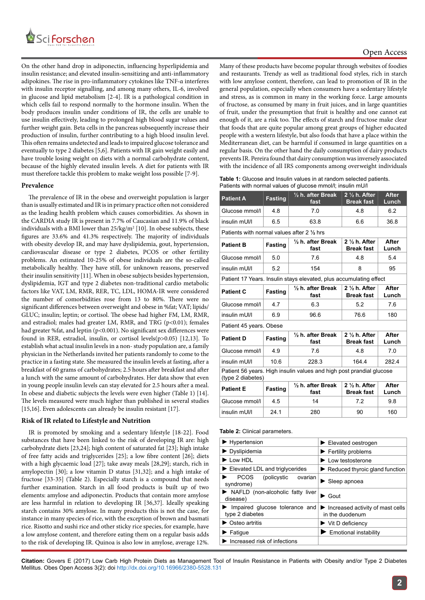

On the other hand drop in adiponectin, influencing hyperlipidemia and insulin resistance; and elevated insulin-sensitizing and anti-inflammatory adipokines. The rise in pro-inflammatory cytokines like TNF-α interferes with insulin receptor signalling, and among many others, IL-6, involved in glucose and lipid metabolism [2-4]. IR is a pathological condition in which cells fail to respond normally to the hormone insulin. When the body produces insulin under conditions of IR, the cells are unable to use insulin effectively, leading to prolonged high blood sugar values and further weight gain. Beta cells in the pancreas subsequently increase their production of insulin, further contributing to a high blood insulin level. This often remains undetected and leads to impaired glucose tolerance and eventually to type 2 diabetes [5,6]. Patients with IR gain weight easily and have trouble losing weight on diets with a normal carbohydrate content, because of the highly elevated insulin levels. A diet for patients with IR must therefore tackle this problem to make weight loss possible [7-9].

## **Prevalence**

The prevalence of IR in the obese and overweight population is larger than is usually estimated and IR is in primary practice often not considered as the leading health problem which causes comorbidities. As shown in the CARDIA study IR is present in 7.7% of Caucasian and 11.9% of black individuals with a BMI lower than  $25/kg/m^2$  [10]. In obese subjects, these figures are 33.6% and 41.3% respectively. The majority of individuals with obesity develop IR, and may have dyslipidemia, gout, hypertension, cardiovascular disease or type 2 diabetes, PCOS or other fertility problems. An estimated 10-25% of obese individuals are the so-called metabolically healthy. They have still, for unknown reasons, preserved their insulin sensitivity [11]. When in obese subjects besides hypertension, dyslipidemia, IGT and type 2 diabetes non-traditional cardio metabolic factors like VAT, LM, RMR, RER, TC, LDL, HOMA-IR were considered the number of comorbidities rose from 13 to 80%. There were no significant differences between overweight and obese in %fat; VAT; lipids/ GLUC; insulin; leptin; or cortisol. The obese had higher FM, LM, RMR, and estradiol; males had greater LM, RMR, and TRG (p<0.01); females had greater %fat, and leptin (p<0.001). No significant sex differences were found in RER, estradiol, insulin, or cortisol levels(p>0.05) [12,13]. To establish what actual insulin levels in a non- study population are, a family physician in the Netherlands invited her patients randomly to come to the practice in a fasting state. She measured the insulin levels at fasting, after a breakfast of 60 grams of carbohydrates; 2.5 hours after breakfast and after a lunch with the same amount of carbohydrates. Her data show that even in young people insulin levels can stay elevated for 2.5 hours after a meal. In obese and diabetic subjects the levels were even higher (Table 1) [14]. The levels measured were much higher than published in several studies [15,16]. Even adolescents can already be insulin resistant [17].

#### **Risk of IR related to Lifestyle and Nutrition**

IR is promoted by smoking and a sedentary lifestyle [18-22]. Food substances that have been linked to the risk of developing IR are: high carbohydrate diets [23,24]; high content of saturated fat [23]; high intake of free fatty acids and triglycerides [25]; a low fibre content [26]; diets with a high glycaemic load [27]; take away meals [28,29]; starch, rich in amylopectin [30]; a low vitamin D status [31,32]; and a high intake of fructose [33-35] (Table 2). Especially starch is a compound that needs further examination. Starch in all food products is built up of two elements: amylose and adiponectin. Products that contain more amylose are less harmful in relation to developing IR [36,37]. Ideally speaking starch contains 30% amylose. In many products this is not the case, for instance in many species of rice, with the exception of brown and basmati rice. Risotto and sushi rice and other sticky rice species, for example, have a low amylose content, and therefore eating them on a regular basis adds to the risk of developing IR. Quinoa is also low in amylose, average 12%.

Many of these products have become popular through websites of foodies and restaurants. Trendy as well as traditional food styles, rich in starch with low amylose content, therefore, can lead to promotion of IR in the general population, especially when consumers have a sedentary lifestyle and stress, as is common in many in the working force. Large amounts of fructose, as consumed by many in fruit juices, and in large quantities of fruit, under the presumption that fruit is healthy and one cannot eat enough of it, are a risk too. The effects of starch and fructose make clear that foods that are quite popular among great groups of higher educated people with a western lifestyle, but also foods that have a place within the Mediterranean diet, can be harmful if consumed in large quantities on a regular basis. On the other hand the daily consumption of dairy products prevents IR. Pereira found that dairy consumption was inversely associated with the incidence of all IRS components among overweight individuals

**Table 1:** Glucose and Insulin values in at random selected patients. Patients with normal values of glucose mmol/l; insulin mU/l

| <b>Patient A</b>                                                                          | <b>Fasting</b> | $\frac{1}{2}$ h. after Break<br>fast | $2\frac{1}{2}$ h. After<br><b>Break fast</b> | <b>After</b><br>Lunch |  |
|-------------------------------------------------------------------------------------------|----------------|--------------------------------------|----------------------------------------------|-----------------------|--|
| Glucose mmol/l                                                                            | 4.8            | 7.0                                  | 4.8                                          | 6.2                   |  |
| insulin mUI/I                                                                             | 6.5            | 63.8                                 | 6.6                                          | 36.8                  |  |
| Patients with normal values after 2 1/2 hrs                                               |                |                                      |                                              |                       |  |
| <b>Patient B</b>                                                                          | <b>Fasting</b> | $\frac{1}{2}$ h. after Break<br>fast | $2\frac{1}{2}$ h. After<br><b>Break fast</b> | After<br>Lunch        |  |
| Glucose mmol/l                                                                            | 5.0            | 7.6                                  | 4.8                                          | 5.4                   |  |
| insulin mUI/I                                                                             | 5.2            | 154                                  | 8                                            | 95                    |  |
| Patient 17 Years. Insulin stays elevated, plus accumulating effect                        |                |                                      |                                              |                       |  |
| <b>Patient C</b>                                                                          | <b>Fasting</b> | $\frac{1}{2}$ h. after Break<br>fast | $2\frac{1}{2}$ h. After<br><b>Break fast</b> | After<br>Lunch        |  |
| Glucose mmol/l                                                                            | 4.7            | 6.3                                  | 5.2                                          | 7.6                   |  |
| insulin mUI/I                                                                             | 6.9            | 96.6                                 | 76.6                                         | 180                   |  |
| Patient 45 years. Obese                                                                   |                |                                      |                                              |                       |  |
| <b>Patient D</b>                                                                          | <b>Fasting</b> | $\frac{1}{2}$ h. after Break<br>fast | $2\frac{1}{2}$ h. After<br><b>Break fast</b> | After<br>Lunch        |  |
| Glucose mmol/l                                                                            | 4.9            | 7.6                                  | 48                                           | 70                    |  |
| insulin mUI/I                                                                             | 10.6           | 228.3                                | 164.4                                        | 2824                  |  |
| Patient 56 years. High insulin values and high post prandial glucose<br>(type 2 diabetes) |                |                                      |                                              |                       |  |
| <b>Patient E</b>                                                                          | <b>Fasting</b> | $\frac{1}{2}$ h. after Break<br>fast | $2\frac{1}{2}$ h. After<br><b>Break fast</b> | After<br>Lunch        |  |
| Glucose mmol/l                                                                            | 4.5            | 14                                   | 7.2                                          | 9.8                   |  |
| insulin mUI/I                                                                             | 24.1           | 280                                  | 90                                           | 160                   |  |

#### **Table 2:** Clinical parameters.

| $\blacktriangleright$ Hypertension                   | $\blacktriangleright$ Elevated oestrogen                                  |  |
|------------------------------------------------------|---------------------------------------------------------------------------|--|
| $\blacktriangleright$ Dyslipidemia                   | $\blacktriangleright$ Fertility problems                                  |  |
| $\blacktriangleright$ I ow HDI                       | Low testosterone                                                          |  |
| $\blacktriangleright$ Elevated LDL and triglycerides | $\blacktriangleright$ Reduced thyroic gland function                      |  |
| <b>PCOS</b><br>(policystic<br>ovarian<br>syndrome)   | Sleep apnoea                                                              |  |
| NAFLD (non-alcoholic fatty liver<br>disease)         | Gout                                                                      |  |
| Impaired glucose tolerance and<br>type 2 diabetes    | $\blacktriangleright$ Increased activity of mast cells<br>in the duodenum |  |
| $\triangleright$ Osteo artritis                      | $\blacktriangleright$ Vit D deficiency                                    |  |
| $\blacktriangleright$ Fatique                        | Emotional instability                                                     |  |
| $\blacktriangleright$ Increased risk of infections   |                                                                           |  |
|                                                      |                                                                           |  |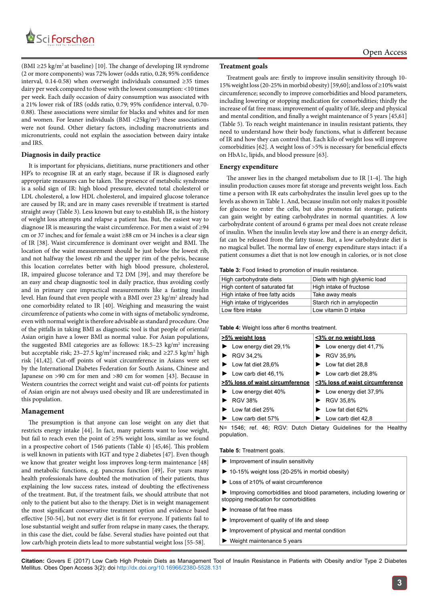

 $(BMI \geq 25 \text{ kg/m}^2 \text{ at baseline})$  [10]. The change of developing IR syndrome (2 or more components) was 72% lower (odds ratio, 0.28; 95% confidence interval, 0.14-0.58) when overweight individuals consumed ≥35 times dairy per week compared to those with the lowest consumption: <10 times per week. Each daily occasion of dairy consumption was associated with a 21% lower risk of IRS (odds ratio, 0.79; 95% confidence interval, 0.70- 0.88). These associations were similar for blacks and whites and for men and women. For leaner individuals  $(BMI < 25kg/m<sup>2</sup>)$  these associations were not found. Other dietary factors, including macronutrients and micronutrients, could not explain the association between dairy intake and IRS.

## **Diagnosis in daily practice**

It is important for physicians, dietitians, nurse practitioners and other HP's to recognise IR at an early stage, because if IR is diagnosed early appropriate measures can be taken. The presence of metabolic syndrome is a solid sign of IR: high blood pressure, elevated total cholesterol or LDL cholesterol, a low HDL cholesterol, and impaired glucose tolerance are caused by IR; and are in many cases reversible if treatment is started straight away (Table 3). Less known but easy to establish IR, is the history of weight loss attempts and relapse a patient has. But, the easiest way to diagnose IR is measuring the waist circumference. For men a waist of ≥94 cm or 37 inches; and for female a waist ≥88 cm or 34 inches is a clear sign of IR [38]. Waist circumference is dominant over weight and BMI. The location of the waist measurement should be just below the lowest rib, and not halfway the lowest rib and the upper rim of the pelvis, because this location correlates better with high blood pressure, cholesterol, IR, impaired glucose tolerance and T2 DM [39], and may therefore be an easy and cheap diagnostic tool in daily practice, thus avoiding costly and in primary care impractical measurements like a fasting insulin level. Han found that even people with a BMI over 23 kg/m<sup>2</sup> already had one comorbidity related to IR [40]. Weighing and measuring the waist circumference of patients who come in with signs of metabolic syndrome, even with normal weight is therefore advisable as standard procedure. One of the pitfalls in taking BMI as diagnostic tool is that people of oriental/ Asian origin have a lower BMI as normal value. For Asian populations, the suggested BMI categories are as follows:  $18.5-23$  kg/m<sup>2</sup> increasing but acceptable risk; 23–27.5 kg/m<sup>2</sup> increased risk; and ≥27.5 kg/m<sup>2</sup> high risk [41,42]. Cut-off points of waist circumference in Asians were set by the International Diabetes Federation for South Asians, Chinese and Japanese on >90 cm for men and >80 cm for women [43]. Because in Western countries the correct weight and waist cut-off points for patients of Asian origin are not always used obesity and IR are underestimated in this population.

#### **Management**

The presumption is that anyone can lose weight on any diet that restricts energy intake [44]. In fact, many patients want to lose weight, but fail to reach even the point of ≥5% weight loss, similar as we found in a prospective cohort of 1546 patients (Table 4) [45,46]. This problem is well known in patients with IGT and type 2 diabetes [47]. Even though we know that greater weight loss improves long-term maintenance [48] and metabolic functions, e.g. pancreas function [49]**.** For years many health professionals have doubted the motivation of their patients, thus explaining the low success rates, instead of doubting the effectiveness of the treatment. But, if the treatment fails, we should attribute that not only to the patient but also to the therapy. Diet is in weight management the most significant conservative treatment option and evidence based effective [50-54], but not every diet is fit for everyone. If patients fail to lose substantial weight and suffer from relapse in many cases, the therapy, in this case the diet, could be false. Several studies have pointed out that low carb/high protein diets lead to more substantial weight loss [55-58].

## **Treatment goals**

Treatment goals are: firstly to improve insulin sensitivity through 10- 15% weight loss (20-25% in morbid obesity) [59,60]; and loss of ≥10% waist circumference; secondly to improve comorbidities and blood parameters, including lowering or stopping medication for comorbidities; thirdly the increase of fat free mass; improvement of quality of life, sleep and physical and mental condition, and finally a weight maintenance of 5 years [45,61] (Table 5). To reach weight maintenance in insulin resistant patients, they need to understand how their body functions, what is different because of IR and how they can control that. Each kilo of weight loss will improve comorbidities [62]. A weight loss of >5% is necessary for beneficial effects on HbA1c, lipids, and blood pressure [63].

## **Energy expenditure**

The answer lies in the changed metabolism due to IR [1-4]. The high insulin production causes more fat storage and prevents weight loss. Each time a person with IR eats carbohydrates the insulin level goes up to the levels as shown in Table 1. And, because insulin not only makes it possible for glucose to enter the cells, but also promotes fat storage, patients can gain weight by eating carbohydrates in normal quantities. A low carbohydrate content of around 6 grams per meal does not create release of insulin. When the insulin levels stay low and there is an energy deficit, fat can be released from the fatty tissue. But, a low carbohydrate diet is no magical bullet. The normal law of energy expenditure stays intact: if a patient consumes a diet that is not low enough in calories, or is not close

#### **Table 3:** Food linked to promotion of insulin resistance.

| High carbohydrate diets         | Diets with high glykemic load |
|---------------------------------|-------------------------------|
| High content of saturated fat   | High intake of fructose       |
| High intake of free fatty acids | Take away meals               |
| High intake of triglycerides    | Starch rich in amylopectin    |
| Low fibre intake                | Low vitamin D intake          |

#### **Table 4:** Weight loss after 6 months treatment.

| >5% weight loss                             | <3% or no weight loss                       |  |
|---------------------------------------------|---------------------------------------------|--|
| $\blacktriangleright$ Low energy diet 29,1% | $\blacktriangleright$ Low energy diet 41,7% |  |
| $\triangleright$ RGV 34,2%                  | RGV 35,9%                                   |  |
| $\blacktriangleright$ Low fat diet 28,6%    | $\blacktriangleright$ Low fat diet 28.8     |  |
| $\blacktriangleright$ Low carb diet 46,1%   | $\blacktriangleright$ Low carb diet 28,8%   |  |
| >5% loss of waist circumference             | <3% loss of waist circumference             |  |
| $\blacktriangleright$ Low energy diet 40%   | $\blacktriangleright$ Low energy diet 37,9% |  |
| <b>RGV 38%</b>                              | ▶ RGV 35,8%                                 |  |
| $\blacktriangleright$ I ow fat diet 25%     | $\blacktriangleright$ I ow fat diet 62%     |  |
| I ow carb diet 57%                          | Low carb diet 42,8                          |  |

N= 1546; ref. 46; RGV: Dutch Dietary Guidelines for the Healthy population.

**Table 5:** Treatment goals.

- **►** Improvement of insulin sensitivity
- **►** 10-15% weight loss (20-25% in morbid obesity)
- **►** Loss of ≥10% of waist circumference

**►** Improving comorbidities and blood parameters, including lowering or stopping medication for comorbidities

- **►** Increase of fat free mass
- **►** Improvement of quality of life and sleep
- **►** Improvement of physical and mental condition
- **►** Weight maintenance 5 years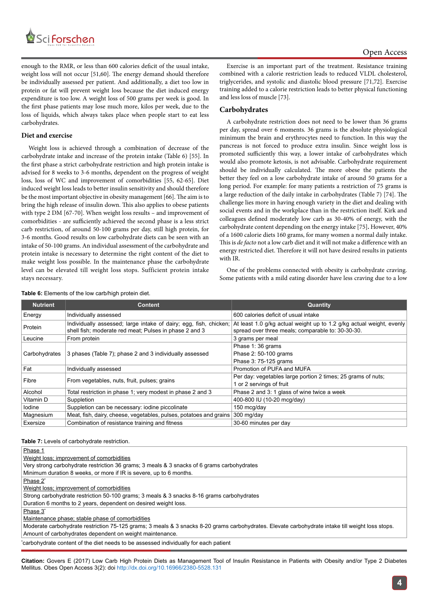

enough to the RMR, or less than 600 calories deficit of the usual intake, weight loss will not occur [51,60]. The energy demand should therefore be individually assessed per patient. And additionally, a diet too low in protein or fat will prevent weight loss because the diet induced energy expenditure is too low. A weight loss of 500 grams per week is good. In the first phase patients may lose much more, kilos per week, due to the loss of liquids, which always takes place when people start to eat less carbohydrates.

## **Diet and exercise**

Weight loss is achieved through a combination of decrease of the carbohydrate intake and increase of the protein intake (Table 6) [55]. In the first phase a strict carbohydrate restriction and high protein intake is advised for 8 weeks to 3-6 months, dependent on the progress of weight loss, loss of WC and improvement of comorbidities [55, 62-65]. Diet induced weight loss leads to better insulin sensitivity and should therefore be the most important objective in obesity management [66]. The aim is to bring the high release of insulin down. This also applies to obese patients with type 2 DM [67-70]. When weight loss results – and improvement of comorbidities - are sufficiently achieved the second phase is a less strict carb restriction, of around 50-100 grams per day, still high protein, for 3-6 months. Good results on low carbohydrate diets can be seen with an intake of 50-100 grams. An individual assessment of the carbohydrate and protein intake is necessary to determine the right content of the diet to make weight loss possible. In the maintenance phase the carbohydrate level can be elevated till weight loss stops. Sufficient protein intake stays necessary.

Exercise is an important part of the treatment. Resistance training combined with a calorie restriction leads to reduced VLDL cholesterol, triglycerides, and systolic and diastolic blood pressure [71,72]. Exercise training added to a calorie restriction leads to better physical functioning and less loss of muscle [73].

## **Carbohydrates**

A carbohydrate restriction does not need to be lower than 36 grams per day, spread over 6 moments. 36 grams is the absolute physiological minimum the brain and erythrocytes need to function. In this way the pancreas is not forced to produce extra insulin. Since weight loss is promoted sufficiently this way, a lower intake of carbohydrates which would also promote ketosis, is not advisable. Carbohydrate requirement should be individually calculated. The more obese the patients the better they feel on a low carbohydrate intake of around 50 grams for a long period. For example: for many patients a restriction of 75 grams is a large reduction of the daily intake in carbohydrates (Table 7) [74]. The challenge lies more in having enough variety in the diet and dealing with social events and in the workplace than in the restriction itself. Kirk and colleagues defined moderately low carb as 30-40% of energy, with the carbohydrate content depending on the energy intake [75]**.** However, 40% of a 1600 calorie diets 160 grams, for many women a normal daily intake. This is *de facto* not a low carb diet and it will not make a difference with an energy restricted diet. Therefore it will not have desired results in patients with IR.

One of the problems connected with obesity is carbohydrate craving. Some patients with a mild eating disorder have less craving due to a low

| <b>Nutrient</b> | <b>Content</b>                                                                                                              | <b>Quantity</b>                                                                                                           |
|-----------------|-----------------------------------------------------------------------------------------------------------------------------|---------------------------------------------------------------------------------------------------------------------------|
| Energy          | Individually assessed                                                                                                       | 600 calories deficit of usual intake                                                                                      |
| Protein         | Individually assessed; large intake of dairy; egg, fish, chicken;<br>shell fish; moderate red meat; Pulses in phase 2 and 3 | At least 1.0 g/kg actual weight up to 1.2 g/kg actual weight, evenly<br>spread over three meals; comparable to: 30-30-30. |
| Leucine         | From protein                                                                                                                | 3 grams per meal                                                                                                          |
|                 |                                                                                                                             | Phase 1:36 grams                                                                                                          |
| Carbohydrates   | 3 phases (Table 7); phase 2 and 3 individually assessed                                                                     | Phase 2: 50-100 grams                                                                                                     |
|                 |                                                                                                                             | Phase 3: 75-125 grams                                                                                                     |
| Fat             | Individually assessed                                                                                                       | Promotion of PUFA and MUFA                                                                                                |
| Fibre           | From vegetables, nuts, fruit, pulses; grains                                                                                | Per day: vegetables large portion 2 times; 25 grams of nuts;                                                              |
|                 |                                                                                                                             | 1 or 2 servings of fruit                                                                                                  |
| Alcohol         | Total restriction in phase 1; very modest in phase 2 and 3                                                                  | Phase 2 and 3: 1 glass of wine twice a week                                                                               |
| Vitamin D       | Suppletion                                                                                                                  | 400-800 IU (10-20 mcg/day)                                                                                                |
| lodine          | Suppletion can be necessary: iodine piccolinate                                                                             | 150 mcg/day                                                                                                               |
| Magnesium       | Meat, fish, dairy, cheese, vegetables, pulses, potatoes and grains                                                          | $300$ mg/day                                                                                                              |
| Exersize        | Combination of resistance training and fitness                                                                              | 30-60 minutes per day                                                                                                     |

**Table 6:** Elements of the low carb/high protein diet.

**Table 7:** Levels of carbohydrate restriction.

| Phase 1                                                                                                                                          |
|--------------------------------------------------------------------------------------------------------------------------------------------------|
| Weight loss; improvement of comorbidities                                                                                                        |
| Very strong carbohydrate restriction 36 grams; 3 meals & 3 snacks of 6 grams carbohydrates                                                       |
| Minimum duration 8 weeks, or more if IR is severe, up to 6 months.                                                                               |
| Phase 2*                                                                                                                                         |
| Weight loss; improvement of comorbidities                                                                                                        |
| Strong carbohydrate restriction 50-100 grams; 3 meals & 3 snacks 8-16 grams carbohydrates                                                        |
| Duration 6 months to 2 years, dependent on desired weight loss.                                                                                  |
| Phase 3*                                                                                                                                         |
| Maintenance phase; stable phase of comorbidities                                                                                                 |
| Moderate carbohydrate restriction 75-125 grams; 3 meals & 3 snacks 8-20 grams carbohydrates. Elevate carbohydrate intake till weight loss stops. |
| Amount of carbohydrates dependent on weight maintenance.                                                                                         |
| carbohydrate content of the diet needs to be assessed individually for each patient                                                              |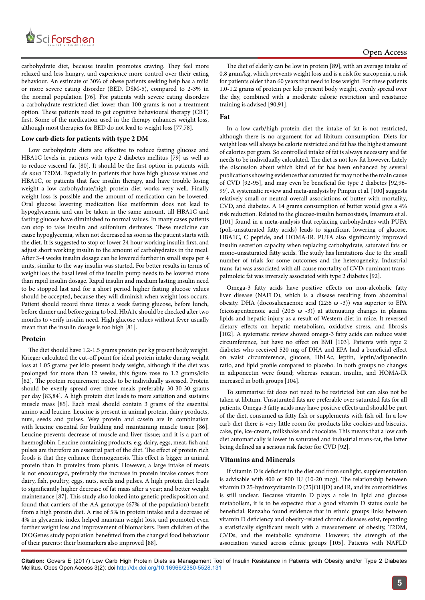

carbohydrate diet, because insulin promotes craving. They feel more relaxed and less hungry, and experience more control over their eating behaviour. An estimate of 30% of obese patients seeking help has a mild or more severe eating disorder (BED, DSM-5), compared to 2-3% in the normal population [76]. For patients with severe eating disorders a carbohydrate restricted diet lower than 100 grams is not a treatment option. These patients need to get cognitive behavioural therapy (CBT) first. Some of the medication used in the therapy enhances weight loss, although most therapies for BED do not lead to weight loss [77,78].

## **Low carb diets for patients with type 2 DM**

Low carbohydrate diets are effective to reduce fasting glucose and HBA1C levels in patients with type 2 diabetes mellitus [79] as well as to reduce visceral fat [80]. It should be the first option in patients with *de novo* T2DM. Especially in patients that have high glucose values and HBA1C, or patients that face insulin therapy, and have trouble losing weight a low carbohydrate/high protein diet works very well. Finally weight loss is possible and the amount of medication can be lowered. Oral glucose lowering medication like metformin does not lead to hypoglycaemia and can be taken in the same amount, till HBA1C and fasting glucose have diminished to normal values. In many cases patients can stop to take insulin and sulfonium derivates. These medicine can cause hypoglycemia, when not decreased as soon as the patient starts with the diet. It is suggested to stop or lower 24 hour working insulin first, and adjust short working insulin to the amount of carbohydrates in the meal. After 3-4 weeks insulin dosage can be lowered further in small steps per 4 units, similar to the way insulin was started. For better results in terms of weight loss the basal level of the insulin pump needs to be lowered more than rapid insulin dosage. Rapid insulin and medium lasting insulin need to be stopped last and for a short period higher fasting glucose values should be accepted, because they will diminish when weight loss occurs. Patient should record three times a week fasting glucose, before lunch, before dinner and before going to bed. HbA1c should be checked after two months to verify insulin need. High glucose values without fever usually mean that the insulin dosage is too high [81].

## **Protein**

The diet should have 1.2-1.5 grams protein per kg present body weight. Krieger calculated the cut-off point for ideal protein intake during weight loss at 1.05 grams per kilo present body weight, although if the diet was prolonged for more than 12 weeks, this figure rose to 1.2 grams/kilo [82]. The protein requirement needs to be individually assessed. Protein should be evenly spread over three meals preferably 30-30-30 grams per day [83,84]. A high protein diet leads to more satiation and sustains muscle mass [85]. Each meal should contain 3 grams of the essential amino acid leucine. Leucine is present in animal protein, dairy products, nuts, seeds and pulses. Wey protein and casein are in combination with leucine essential for building and maintaining muscle tissue [86]. Leucine prevents decrease of muscle and liver tissue; and it is a part of haemoglobin. Leucine containing products, e.g. dairy, eggs, meat, fish and pulses are therefore an essential part of the diet. The effect of protein rich foods is that they enhance thermogenesis. This effect is bigger in animal protein than in proteins from plants. However, a large intake of meats is not encouraged, preferably the increase in protein intake comes from dairy, fish, poultry, eggs, nuts, seeds and pulses. A high protein diet leads to significantly higher decrease of fat mass after a year; and better weight maintenance [87]. This study also looked into genetic predisposition and found that carriers of the AA genotype (67% of the population) benefit from a high protein diet. A rise of 5% in protein intake and a decrease of 4% in glycaemic index helped maintain weight loss, and promoted even further weight loss and improvement of biomarkers. Even children of the DiOGenes study population benefitted from the changed food behaviour of their parents: their biomarkers also improved [88].

The diet of elderly can be low in protein [89], with an average intake of 0.8 gram/kg, which prevents weight loss and is a risk for sarcopenia, a risk for patients older than 60 years that need to lose weight. For these patients 1.0-1.2 grams of protein per kilo present body weight, evenly spread over the day, combined with a moderate calorie restriction and resistance training is advised [90,91].

## **Fat**

In a low carb/high protein diet the intake of fat is not restricted, although there is no argument for ad libitum consumption. Diets for weight loss will always be calorie restricted and fat has the highest amount of calories per gram. So controlled intake of fat is always necessary and fat needs to be individually calculated. The diet is not low fat however. Lately the discussion about which kind of fat has been enhanced by several publications showing evidence that saturated fat may not be the main cause of CVD [92-95], and may even be beneficial for type 2 diabetes [92,96- 99]. A systematic review and meta-analysis by Pimpin et al. [100] suggests relatively small or neutral overall associations of butter with mortality, CVD, and diabetes. A 14 grams consumption of butter would give a 4% risk reduction. Related to the glucose-insulin homeostasis, Imamura et al. [101] found in a meta-analysis that replacing carbohydrates with PUFA (poli-unsaturated fatty acids) leads to significant lowering of glucose, HBA1C, C peptide, and HOMA-IR. PUFA also significantly improved insulin secretion capacity when replacing carbohydrate, saturated fats or mono-unsaturated fatty acids. The study has limitations due to the small number of trials for some outcomes and the heterogeneity. Industrial trans-fat was associated with all-cause mortality of CVD; ruminant transpalmoleic fat was inversely associated with type 2 diabetes [92].

Omega-3 fatty acids have positive effects on non-alcoholic fatty liver disease (NAFLD), which is a disease resulting from abdominal obesity. DHA (docosahexaenoic acid (22:6  $\omega$  -3)) was superior to EPA (eicosapentaenoic acid (20:5 ω -3)) at attenuating changes in plasma lipids and hepatic injury as a result of Western diet in mice. It reversed dietary effects on hepatic metabolism, oxidative stress, and fibrosis [102]. A systematic review showed omega-3 fatty acids can reduce waist circumference, but have no effect on BMI [103]. Patients with type 2 diabetes who received 520 mg of DHA and EPA had a beneficial effect on waist circumference, glucose, Hb1Ac, leptin, leptin/adiponectin ratio, and lipid profile compared to placebo. In both groups no changes in adiponectin were found; whereas resistin, insulin, and HOMA-IR increased in both groups [104].

To summarise: fat does not need to be restricted but can also not be taken at libitum. Unsaturated fats are preferable over saturated fats for all patients. Omega-3 fatty acids may have positive effects and should be part of the diet, consumed as fatty fish or supplements with fish oil. In a low carb diet there is very little room for products like cookies and biscuits, cake, pie, ice-cream, milkshake and chocolate. This means that a low carb diet automatically is lower in saturated and industrial trans-fat, the latter being defined as a serious risk factor for CVD [92].

## **Vitamins and Minerals**

If vitamin D is deficient in the diet and from sunlight, supplementation is advisable with 400 or 800 IU (10-20 mcg). The relationship between vitamin D 25-hydroxyvitamin D (25[OH]D) and IR, and its comorbidities is still unclear. Because vitamin D plays a role in lipid and glucose metabolism, it is to be expected that a good vitamin D status could be beneficial. Renzaho found evidence that in ethnic groups links between vitamin D deficiency and obesity-related chronic diseases exist, reporting a statistically significant result with a measurement of obesity, T2DM, CVDs, and the metabolic syndrome. However, the strength of the association varied across ethnic groups [105]. Patients with NAFLD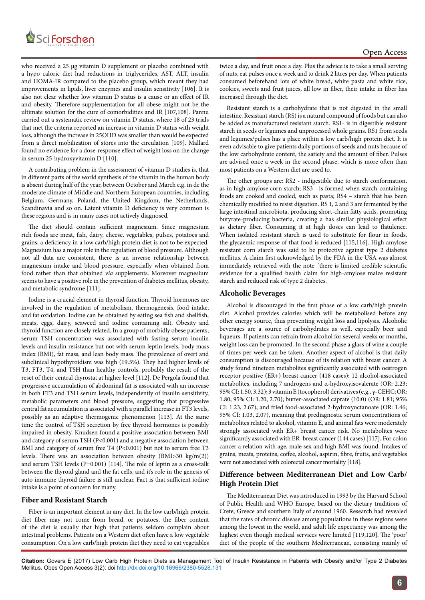

who received a 25 µg vitamin D supplement or placebo combined with a hypo caloric diet had reductions in triglycerides, AST, ALT, insulin and HOMA-IR compared to the placebo group, which meant they had improvements in lipids, liver enzymes and insulin sensitivity [106]. It is also not clear whether low vitamin D status is a cause or an effect of IR and obesity. Therefore supplementation for all obese might not be the ultimate solution for the cure of comorbidities and IR [107,108]. Pannu carried out a systematic review on vitamin D status, where 18 of 23 trials that met the criteria reported an increase in vitamin D status with weight loss, although the increase in 25OHD was smaller than would be expected from a direct mobilization of stores into the circulation [109]. Mallard found no evidence for a dose-response effect of weight loss on the change in serum 25-hydroxyvitamin D [110].

A contributing problem in the assessment of vitamin D studies is, that in different parts of the world synthesis of the vitamin in the human body is absent during half of the year, between October and March e.g. in de the moderate climate of Middle and Northern European countries, including Belgium, Germany, Poland, the United Kingdom, the Netherlands, Scandinavia and so on. Latent vitamin D deficiency is very common is these regions and is in many cases not actively diagnosed.

The diet should contain sufficient magnesium. Since magnesium rich foods are meat, fish, dairy, cheese, vegetables, pulses, potatoes and grains, a deficiency in a low carb/high protein diet is not to be expected. Magnesium has a major role in the regulation of blood pressure. Although not all data are consistent, there is an inverse relationship between magnesium intake and blood pressure, especially when obtained from food rather than that obtained *via* supplements. Moreover magnesium seems to have a positive role in the prevention of diabetes mellitus, obesity, and metabolic syndrome [111].

Iodine is a crucial element in thyroid function. Thyroid hormones are involved in the regulation of metabolism, thermogenesis, food intake, and fat oxidation. Iodine can be obtained by eating sea fish and shellfish, meats, eggs, dairy, seaweed and iodine containing salt. Obesity and thyroid function are closely related. In a group of morbidly obese patients, serum TSH concentration was associated with fasting serum insulin levels and insulin resistance but not with serum leptin levels, body mass index (BMI), fat mass, and lean body mass. The prevalence of overt and subclinical hypothyroidism was high (19.5%). They had higher levels of T3, FT3, T4, and TSH than healthy controls, probably the result of the reset of their central thyrostat at higher level [112]. De Pergola found that progressive accumulation of abdominal fat is associated with an increase in both FT3 and TSH serum levels, independently of insulin sensitivity, metabolic parameters and blood pressure, suggesting that progressive central fat accumulation is associated with a parallel increase in FT3 levels, possibly as an adaptive thermogenic phenomenon [113]. At the same time the control of TSH secretion by free thyroid hormones is possibly impaired in obesity. Knudsen found a positive association between BMI and category of serum TSH (P<0.001) and a negative association between BMI and category of serum free T4 (P<0.001) but not to serum free T3 levels. There was an association between obesity (BMI>30 kg/m(2)) and serum TSH levels (P=0.001) [114]. The role of leptin as a cross-talk between the thyroid gland and the fat cells, and it's role in the genesis of auto immune thyroid failure is still unclear. Fact is that sufficient iodine intake is a point of concern for many.

## **Fiber and Resistant Starch**

Fiber is an important element in any diet. In the low carb/high protein diet fiber may not come from bread, or potatoes, the fiber content of the diet is usually that high that patients seldom complain about intestinal problems. Patients on a Western diet often have a low vegetable consumption. On a low carb/high protein diet they need to eat vegetables twice a day, and fruit once a day. Plus the advice is to take a small serving of nuts, eat pulses once a week and to drink 2 litres per day. When patients consumed beforehand lots of white bread, white pasta and white rice, cookies, sweets and fruit juices, all low in fiber, their intake in fiber has increased through the diet.

Resistant starch is a carbohydrate that is not digested in the [small](https://en.wikipedia.org/wiki/Small_intestine) [intestine](https://en.wikipedia.org/wiki/Small_intestine). Resistant starch (RS) is a natural compound of foods but can also be added as manufactured resistant starch. RS1- is in digestible resistant starch in seeds or legumes and unprocessed whole grains. RS1 from seeds and legumes/pulses has a place within a low carb/high protein diet. It is even advisable to give patients daily portions of seeds and nuts because of the low carbohydrate content, the satiety and the amount of fiber. Pulses are advised once a week in the second phase, which is more often than most patients on a Western diet are used to.

The other groups are: RS2 - indigestible due to starch conformation, as in high [amylose](https://en.wikipedia.org/wiki/Amylose) corn starch; RS3 - is formed when starch-containing foods are cooked and cooled, such as pasta; RS4 – starch that has been chemically modified to resist digestion. RS 1, 2 and 3 are fermented by the large intestinal [microbiota,](https://en.wikipedia.org/wiki/Microbiota) producing [short-chain fatty acids](https://en.wikipedia.org/wiki/Short-chain_fatty_acid), promoting [butyrate](https://en.wikipedia.org/wiki/Butyrate)-producing bacteria, creating a has similar [physiologic](https://en.wikipedia.org/wiki/Physiology)al effect as [dietary fiber](https://en.wikipedia.org/wiki/Dietary_fiber). Consuming it at high doses can lead to [flatulence](https://en.wikipedia.org/wiki/Flatulence). When isolated resistant starch is used to substitute for flour in foods, the glycaemic response of that food is reduced [115,116]. High amylose resistant corn starch was said to be protective against type 2 diabetes mellitus. A claim first acknowledged by the FDA in the USA was almost immediately retrieved with the note ´there is limited credible scientific evidence for a qualified health claim for high-amylose maize resistant starch and reduced risk of type 2 diabetes.

## **Alcoholic Beverages**

Alcohol is discouraged in the first phase of a low carb/high protein diet. Alcohol provides calories which will be metabolised before any other energy source, thus preventing weight loss and lipolysis. Alcoholic beverages are a source of carbohydrates as well, especially beer and liqueurs. If patients can refrain from alcohol for several weeks or months, weight loss can be promoted. In the second phase a glass of wine a couple of times per week can be taken. Another aspect of alcohol is that daily consumption is discouraged because of its relation with breast cancer. A study found nineteen metabolites significantly associated with oestrogen receptor positive (ER+) breast cancer (418 cases): 12 alcohol-associated metabolites, including 7 androgens and α-hydroxyisovalerate (OR: 2.23; 95% CI: 1.50, 3.32); 3 vitamin E (tocopherol) derivatives (e.g., γ-CEHC; OR: 1.80; 95% CI: 1.20, 2.70); butter-associated caprate (10:0) (OR: 1.81; 95% CI: 1.23, 2.67); and fried food-associated 2-hydroxyoctanoate (OR: 1.46; 95% CI: 1.03, 2.07), meaning that prediagnostic serum concentrations of metabolites related to alcohol, vitamin E, and animal fats were moderately strongly associated with ER+ breast cancer risk. No metabolites were significantly associated with ER- breast cancer (144 cases) [117]. For colon cancer a relation with age, male sex and high BMI was found. Intakes of grains, meats, proteins, coffee, alcohol, aspirin, fibre, fruits, and vegetables were not associated with colorectal cancer mortality [118].

## **Difference between Mediterranean Diet and Low Carb/ High Protein Diet**

The Mediterranean Diet was introduced in 1993 by the Harvard School of Public Health and WHO Europe, based on the dietary traditions of Crete, Greece and southern Italy of around 1960. Research had revealed that the rates of chronic disease among populations in these regions were among the lowest in the world, and adult life expectancy was among the highest even though medical services were limited [119,120]. The 'poor' diet of the people of the southern Mediterranean, consisting mainly of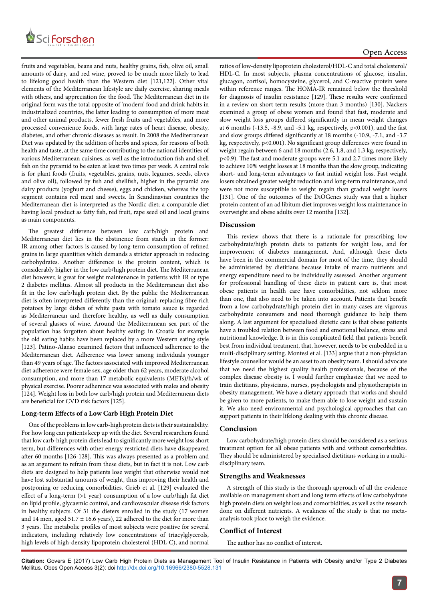

fruits and vegetables, beans and nuts, healthy grains, fish, olive oil, small amounts of dairy, and red wine, proved to be much more likely to lead to lifelong good health than the Western diet [121,122]. Other vital elements of the Mediterranean lifestyle are daily exercise, sharing meals with others, and appreciation for the food. The Mediterranean diet in its original form was the total opposite of 'modern' food and drink habits in industrialized countries, the latter leading to consumption of more meat and other animal products, fewer fresh fruits and vegetables, and more processed convenience foods, with large rates of heart disease, obesity, diabetes, and other chronic diseases as result. In 2008 the Mediterranean Diet was updated by the addition of herbs and spices, for reasons of both health and taste, at the same time contributing to the national identities of various Mediterranean cuisines, as well as the introduction fish and shell fish on the pyramid to be eaten at least two times per week. A central role is for plant foods (fruits, vegetables, grains, nuts, legumes, seeds, olives and olive oil), followed by fish and shellfish, higher in the pyramid are dairy products (yoghurt and cheese), eggs and chicken, whereas the top segment contains red meat and sweets. In Scandinavian countries the Mediterranean diet is interpreted as the Nordic diet; a comparable diet having local product as fatty fish, red fruit, rape seed oil and local grains as main components.

The greatest difference between low carb/high protein and Mediterranean diet lies in the abstinence from starch in the former: IR among other factors is caused by long-term consumption of refined grains in large quantities which demands a stricter approach in reducing carbohydrates. Another difference is the protein content, which is considerably higher in the low carb/high protein diet. The Mediterranean diet however, is great for weight maintenance in patients with IR or type 2 diabetes mellitus. Almost all products in the Mediterranean diet also fit in the low carb/high protein diet. By the public the Mediterranean diet is often interpreted differently than the original: replacing fibre rich potatoes by large dishes of white pasta with tomato sauce is regarded as Mediterranean and therefore healthy, as well as daily consumption of several glasses of wine. Around the Mediterranean sea part of the population has forgotten about healthy eating: in Croatia for example the old eating habits have been replaced by a more Western eating style [123]. Patino-Alanso examined factors that influenced adherence to the Mediterranean diet. Adherence was lower among individuals younger than 49 years of age. The factors associated with improved Mediterranean diet adherence were female sex, age older than 62 years, moderate alcohol consumption, and more than 17 metabolic equivalents (METs)/h/wk of physical exercise. Poorer adherence was associated with males and obesity [124]. Weight loss in both low carb/high protein and Mediterranean diets are beneficial for CVD risk factors [125].

## **Long-term Effects of a Low Carb High Protein Diet**

One of the problems in low carb-high protein diets is their sustainability. For how long can patients keep up with the diet. Several researchers found that low carb-high protein diets lead to significantly more weight loss short term, but differences with other energy restricted diets have disappeared after 60 months [126-128]. This was always presented as a problem and as an argument to refrain from these diets, but in fact it is not. Low carb diets are designed to help patients lose weight that otherwise would not have lost substantial amounts of weight, thus improving their health and postponing or reducing comorbidities. Grieb et al. [129] evaluated the effect of a long-term (>1 year) consumption of a low carb/high fat diet on lipid profile, glycaemic control, and cardiovascular disease risk factors in healthy subjects. Of 31 the dieters enrolled in the study (17 women and 14 men, aged 51.7  $\pm$  16.6 years), 22 adhered to the diet for more than 3 years. The metabolic profiles of most subjects were positive for several indicators, including relatively low concentrations of triacylglycerols, high levels of high-density lipoprotein cholesterol (HDL-C), and normal

ratios of low-density lipoprotein cholesterol/HDL-C and total cholesterol/ HDL-C. In most subjects, plasma concentrations of glucose, insulin, glucagon, cortisol, homocysteine, glycerol, and C-reactive protein were within reference ranges. The HOMA-IR remained below the threshold for diagnosis of insulin resistance [129]. These results were confirmed in a review on short term results (more than 3 months) [130]. Nackers examined a group of obese women and found that fast, moderate and slow weight loss groups differed significantly in mean weight changes at 6 months (-13.5, -8.9, and -5.1 kg, respectively, p<0.001), and the fast and slow groups differed significantly at 18 months (-10.9, -7.1, and -3.7 kg, respectively, p<0.001). No significant group differences were found in weight regain between 6 and 18 months (2.6, 1.8, and 1.3 kg, respectively, p<0.9). The fast and moderate groups were 5.1 and 2.7 times more likely to achieve 10% weight losses at 18 months than the slow group, indicating short- and long-term advantages to fast initial weight loss. Fast weight losers obtained greater weight reduction and long-term maintenance, and were not more susceptible to weight regain than gradual weight losers [131]. One of the outcomes of the DiOGenes study was that a higher protein content of an ad libitum diet improves weight loss maintenance in overweight and obese adults over 12 months [132].

## **Discussion**

This review shows that there is a rationale for prescribing low carbohydrate/high protein diets to patients for weight loss, and for improvement of diabetes management. And, although these diets have been in the commercial domain for most of the time, they should be administered by dietitians because intake of macro nutrients and energy expenditure need to be individually assessed. Another argument for professional handling of these diets in patient care is, that most obese patients in health care have comorbidities, not seldom more than one, that also need to be taken into account. Patients that benefit from a low carbohydrate/high protein diet in many cases are vigorous carbohydrate consumers and need thorough guidance to help them along. A last argument for specialised dietetic care is that obese patients have a troubled relation between food and emotional balance, stress and nutritional knowledge. It is in this complicated field that patients benefit best from individual treatment, that, however, needs to be embedded in a multi-disciplinary setting. Montesi et al. [133] argue that a non-physician lifestyle counsellor would be an asset to an obesity team. I should advocate that we need the highest quality health professionals, because of the complex disease obesity is. I would further emphasize that we need to train dietitians, physicians, nurses, psychologists and physiotherapists in obesity management. We have a dietary approach that works and should be given to more patients, to make them able to lose weight and sustain it. We also need environmental and psychological approaches that can support patients in their lifelong dealing with this chronic disease.

#### **Conclusion**

Low carbohydrate/high protein diets should be considered as a serious treatment option for all obese patients with and without comorbidities. They should be administered by specialised dietitians working in a multidisciplinary team.

## **Strengths and Weaknesses**

A strength of this study is the thorough approach of all the evidence available on management short and long term effects of low carbohydrate high protein diets on weight loss and comorbidities, as well as the research done on different nutrients. A weakness of the study is that no metaanalysis took place to weigh the evidence.

## **Conflict of Interest**

The author has no conflict of interest.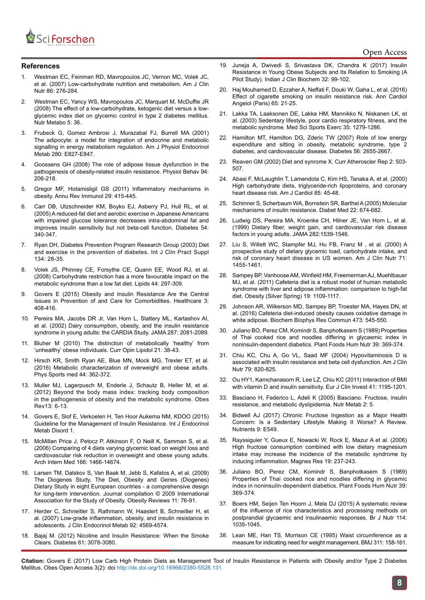

## **References**

- 1. [Westman EC, Feinman RD, Mavropoulos JC, Vernon MC, Volek JC,](https://www.ncbi.nlm.nih.gov/pubmed/17684196)  [et al. \(2007\) Low-carbohydrate nutrition and metabolism. Am J Clin](https://www.ncbi.nlm.nih.gov/pubmed/17684196)  [Nutr 86: 276-284.](https://www.ncbi.nlm.nih.gov/pubmed/17684196)
- 2. [Westman EC, Yancy WS, Mavropoulos JC, Marquart M, McDuffie JR](https://www.ncbi.nlm.nih.gov/pubmed/19099589)  [\(2008\) The effect of a low-carbohydrate, ketogenic diet versus a low](https://www.ncbi.nlm.nih.gov/pubmed/19099589)[glycemic index diet on glycemic control in type 2 diabetes mellitus.](https://www.ncbi.nlm.nih.gov/pubmed/19099589)  [Nutr Metabo 5: 36.](https://www.ncbi.nlm.nih.gov/pubmed/19099589)
- 3. [Frubeck G, Gomez Ambrosi J, Murazabal FJ, Burrell MA \(2001\)](https://www.ncbi.nlm.nih.gov/pubmed/11350765)  [The adipocyte: a model for integration of endocrine and metabolic](https://www.ncbi.nlm.nih.gov/pubmed/11350765)  [signalling in energy metabolism regulation. Am J Physiol Endocrinol](https://www.ncbi.nlm.nih.gov/pubmed/11350765)  [Metab 280: E827-E847.](https://www.ncbi.nlm.nih.gov/pubmed/11350765)
- 4. [Goossens GH \(2008\) The role of adipose tissue dysfunction in the](https://www.ncbi.nlm.nih.gov/pubmed/18037457)  [pathogenesis of obesity-related insulin resistance. Physiol Behav 94:](https://www.ncbi.nlm.nih.gov/pubmed/18037457)  [206-218.](https://www.ncbi.nlm.nih.gov/pubmed/18037457)
- 5. Gregor MF, Hotamisligil [GS \(2011\) Inflammatory mechanisms in](https://www.ncbi.nlm.nih.gov/pubmed/21219177)  [obesity. Annu Rev Immunol 29: 415-445.](https://www.ncbi.nlm.nih.gov/pubmed/21219177)
- 6. [Carr DB, Utzschneider KM, Boyko EJ, Asberry PJ, Hull RL, et al.](https://www.ncbi.nlm.nih.gov/pubmed/15677490)  [\(2005\) A reduced-fat diet and aerobic exercise in Japanese Americans](https://www.ncbi.nlm.nih.gov/pubmed/15677490)  [with impaired glucose tolerance decreases intra-abdominal fat and](https://www.ncbi.nlm.nih.gov/pubmed/15677490)  [improves insulin sensitivity but not beta-cell function. Diabetes 54:](https://www.ncbi.nlm.nih.gov/pubmed/15677490)  [340-347.](https://www.ncbi.nlm.nih.gov/pubmed/15677490)
- 7. [Ryan DH, Diabetes Prevention Program Research Group \(2003\) Diet](https://www.ncbi.nlm.nih.gov/pubmed/12793595)  [and exercise in the prevention of diabetes. Int J Clin Pract Suppl](https://www.ncbi.nlm.nih.gov/pubmed/12793595)  [134: 28-35.](https://www.ncbi.nlm.nih.gov/pubmed/12793595)
- 8. [Volek JS, Phinney CE, Forsythe CE, Quann EE, Wood RJ, et al.](https://www.ncbi.nlm.nih.gov/pubmed/19082851)  [\(2008\) Carbohydrate restriction has a more favourable impact on the](https://www.ncbi.nlm.nih.gov/pubmed/19082851)  [metabolic syndrome than a low fat diet. Lipids 44: 297-309.](https://www.ncbi.nlm.nih.gov/pubmed/19082851)
- 9. [Govers E \(2015\) Obesity and Insulin Resistance Are the Central](http://www.mdpi.com/2227-9032/3/2/408)  [Issues in Prevention of and Care for Comorbidities. Healthcare 3:](http://www.mdpi.com/2227-9032/3/2/408)  [408-416.](http://www.mdpi.com/2227-9032/3/2/408)
- 10. [Pereira MA, Jacobs DR Jr, Van Horn L, Slattery ML, Kartashov AI,](https://www.ncbi.nlm.nih.gov/pubmed/11966382)  [et al. \(2002\) Dairy consumption, obesity, and the insulin resistance](https://www.ncbi.nlm.nih.gov/pubmed/11966382)  [syndrome in young adults: the CARDIA Study. JAMA 287: 2081-2089.](https://www.ncbi.nlm.nih.gov/pubmed/11966382)
- 11. [Bluher M \(2010\) The distinction of metabolically 'healthy' from](https://www.ncbi.nlm.nih.gov/pubmed/19915462)  ['unhealthy' obese individuals. Curr Opin Lipidol 21: 38-43.](https://www.ncbi.nlm.nih.gov/pubmed/19915462)
- 12. [Hirsch KR, Smith Ryan AE, Blue MN, Mock MG, Trexler ET, et al.](https://www.ncbi.nlm.nih.gov/pubmed/27737609)  [\(2016\) Metabolic characterization of overweight and obese adults.](https://www.ncbi.nlm.nih.gov/pubmed/27737609)  [Phys Sports med 44: 362-372.](https://www.ncbi.nlm.nih.gov/pubmed/27737609)
- 13. [Muller MJ, Lagerpusch M, Enderle J, Schautz B, Heller M, et al.](https://www.ncbi.nlm.nih.gov/pubmed/23107255)  [\(2012\) Beyond the body mass index: tracking body composition](https://www.ncbi.nlm.nih.gov/pubmed/23107255)  [in the pathogenesis of obesity and the metabolic syndrome. Obes](https://www.ncbi.nlm.nih.gov/pubmed/23107255)  [Rev13: 6-13.](https://www.ncbi.nlm.nih.gov/pubmed/23107255)
- 14. [Govers E, Slof E, Verkoelen H, Ten Hoor Aukema NM, KDOO \(2015\)](https://www.harrietverkoelen.nl/media/IJEMD-1-115.pdf)  [Guideline for the Management of Insulin Resistance. Int J Endocrinol](https://www.harrietverkoelen.nl/media/IJEMD-1-115.pdf)  [Metab Disord 1.](https://www.harrietverkoelen.nl/media/IJEMD-1-115.pdf)
- 15. [McMillan Price J, Petocz P, Atkinson F, O Neill K, Samman S, et al.](https://www.ncbi.nlm.nih.gov/pubmed/16864756)  [\(2006\) Comparing of 4 diets varying glycemic load on weight loss and](https://www.ncbi.nlm.nih.gov/pubmed/16864756)  [cardiovascular risk reduction in overweight and obese young adults.](https://www.ncbi.nlm.nih.gov/pubmed/16864756)  [Arch Intern Med 166: 1466-14674.](https://www.ncbi.nlm.nih.gov/pubmed/16864756)
- 16. [Larsen TM, Dalskov S, Van Baak M, Jebb S, Kafatos A, et al. \(2009\)](file:///C:\Users\sai\Downloads\Obes-Rev_2009-Larsen.pdf)  [The Diogenes Study, The Diet, Obesity and Genes \(Diogenes\)](file:///C:\Users\sai\Downloads\Obes-Rev_2009-Larsen.pdf)  [Dietary Study in eight European countries - a comprehensive design](file:///C:\Users\sai\Downloads\Obes-Rev_2009-Larsen.pdf)  [for long-term intervention. Journal compilation © 2009 International](file:///C:\Users\sai\Downloads\Obes-Rev_2009-Larsen.pdf)  [Association for the Study of Obesity. Obesity Reviews 11: 76-91.](file:///C:\Users\sai\Downloads\Obes-Rev_2009-Larsen.pdf)
- 17. [Herder C, Schneitler S, Rathmann W, Haastert B, Schneitler H, et](https://www.ncbi.nlm.nih.gov/pubmed/17911172)  [al. \(2007\) Low-grade inflammation, obesity, and insulin resistance in](https://www.ncbi.nlm.nih.gov/pubmed/17911172)  [adolescents. J Clin Endocrinol Metab 92: 4569-4574.](https://www.ncbi.nlm.nih.gov/pubmed/17911172)
- 18. [Bajaj M. \(2012\) Nicotine and Insulin Resistance: When the Smoke](https://www.ncbi.nlm.nih.gov/pmc/articles/PMC3501863/)  [Clears. Diabetes 61: 3078-3080.](https://www.ncbi.nlm.nih.gov/pmc/articles/PMC3501863/)
- 19. [Juneja A, Dwivedi S, Srivastava DK, Chandra K \(2017\) Insulin](https://link.springer.com/article/10.1007/s12291-016-0579-4) [Resistance in Young Obese Subjects and Its Relation to Smoking \(A](https://link.springer.com/article/10.1007/s12291-016-0579-4) [Pilot Study\). Indian J Clin Biochem 32: 99-102.](https://link.springer.com/article/10.1007/s12291-016-0579-4)
- 20. [Haj Mouhamed D, Ezzaher A, Neffati F, Douki W, Gaha L, et al. \(2016\)](https://www.ncbi.nlm.nih.gov/pubmed/25620470) [Effect of cigarette smoking on insulin resistance risk. Ann Cardiol](https://www.ncbi.nlm.nih.gov/pubmed/25620470) [Angeiol \(Paris\) 65: 21-25.](https://www.ncbi.nlm.nih.gov/pubmed/25620470)
- 21. [Lakka TA, Laaksonen DE, Lakka HM, Mannikko N, Niskanen LK, et](https://www.ncbi.nlm.nih.gov/pubmed/12900679) al. (2003) [Sedentary lifestyle, poor cardio respiratory fitness, and the](https://www.ncbi.nlm.nih.gov/pubmed/12900679) metabolic syndrome. [Med Sci Sports Exerc 35: 1279-1286.](https://www.ncbi.nlm.nih.gov/pubmed/12900679)
- 22. [Hamilton MT, Hamilton DG, Zderic TW \(2007\) Role of low energy](https://www.ncbi.nlm.nih.gov/pubmed/17827399) [expenditure and sitting in obesity, metabolic syndrome, type 2](https://www.ncbi.nlm.nih.gov/pubmed/17827399) [diabetes, and cardiovascular disease. Diabetes 56: 2655-2667.](https://www.ncbi.nlm.nih.gov/pubmed/17827399)
- 23. [Reaven GM \(2002\) Diet and synrome X. Curr Atheroscler Rep 2: 503-](https://www.ncbi.nlm.nih.gov/pubmed/11122785) [507.](https://www.ncbi.nlm.nih.gov/pubmed/11122785)
- 24. [Abasi F, McLaughlin T, Lamendola C, Kim HS, Tanaka A, et al. \(2000\)](https://www.ncbi.nlm.nih.gov/pubmed/11078235) [High carbohydrate diets, triglyceride-rich lipoproteins, and coronary](https://www.ncbi.nlm.nih.gov/pubmed/11078235) [heart disease risk. Am J Cardiol 85: 45-48.](https://www.ncbi.nlm.nih.gov/pubmed/11078235)
- 25. [Schinner S, Scherbaum WA, Bornstein SR, Barthel A \(2005\) Molecular](https://www.ncbi.nlm.nih.gov/pubmed/15910615) [mechanisms of insulin resistance. Diabet Med 22: 674-682.](https://www.ncbi.nlm.nih.gov/pubmed/15910615)
- 26. [Ludwig DS, Pereira MA, Kroenke CH, Hilner JE, Van Horn L, et al.](https://www.ncbi.nlm.nih.gov/pubmed/10546693) (1999) [Dietary fiber, weight gain, and cardiovascular risk disease](https://www.ncbi.nlm.nih.gov/pubmed/10546693) [factors in young adults. JAMA 282:1539-1546.](https://www.ncbi.nlm.nih.gov/pubmed/10546693)
- 27. [Liu S, Willett WC, Stampfer MJ, Hu FB, Franz M , et al. \(2000\) A](https://www.ncbi.nlm.nih.gov/pubmed/10837285) [prospective study of dietary glycemic load, carbohydrate intake, and](https://www.ncbi.nlm.nih.gov/pubmed/10837285) [risk of coronary heart disease in US women. Am J Clin Nutr 71:](https://www.ncbi.nlm.nih.gov/pubmed/10837285) [1455-1461.](https://www.ncbi.nlm.nih.gov/pubmed/10837285)
- 28. [Sampey BP, Vanhoose AM, Winfield HM, Freemerman AJ, Muehlbauer](https://www.ncbi.nlm.nih.gov/pubmed/21331068) [MJ, et al. \(2011\) Cafeteria diet is a robust model of human metabolic](https://www.ncbi.nlm.nih.gov/pubmed/21331068) [syndrome with liver and adipose inflammation: comparison to high-fat](https://www.ncbi.nlm.nih.gov/pubmed/21331068) [diet. Obesity \(Silver Spring\) 19: 1109-1117.](https://www.ncbi.nlm.nih.gov/pubmed/21331068)
- 29. [Johnson AR, Wilkerson MD, Sampey BP, Troester MA, Hayes DN, et](https://www.ncbi.nlm.nih.gov/pubmed/27033600) [al. \(2016\) Cafeteria diet-induced obesity causes oxidative damage in](https://www.ncbi.nlm.nih.gov/pubmed/27033600) [white adipose. Biochem Biophys Res Commun 473: 545-550.](https://www.ncbi.nlm.nih.gov/pubmed/27033600)
- 30. [Juliano BO, Perez CM, Komindr S, Banphotkasem S \(1989\) Properties](https://www.ncbi.nlm.nih.gov/pubmed/2631091) of Thai cooked rice [and noodles differing in glycaemic index in](https://www.ncbi.nlm.nih.gov/pubmed/2631091) [noninsulin-dependent diabetics. Plant Foods Hum Nutr 39: 369-374.](https://www.ncbi.nlm.nih.gov/pubmed/2631091)
- 31. [Chiu KC, Chu A, Go VL, Saad MF \(2004\) Hypovitaminosis D is](https://www.ncbi.nlm.nih.gov/pubmed/15113720) [associated with insulin resistance and beta cell dysfunction. Am J Clin](https://www.ncbi.nlm.nih.gov/pubmed/15113720) [Nutr 79: 820-825.](https://www.ncbi.nlm.nih.gov/pubmed/15113720)
- 32. [Ou HY1, Karnchanasorn R, Lee LZ, Chiu KC \(2011\) Interaction of BMI](https://www.ncbi.nlm.nih.gov/pubmed/21434896) [with vitamin D and insulin sensitivity. Eur J Clin Invest 41: 1195-1201.](https://www.ncbi.nlm.nih.gov/pubmed/21434896)
- 33. [Basciano H, Federico L, Adeli K \(2005\) Basciano. Fructose, insulin](https://www.ncbi.nlm.nih.gov/pubmed/15723702) [resistance, and metabolic dyslipidemia. Nutr Metab 2: 5.](https://www.ncbi.nlm.nih.gov/pubmed/15723702)
- 34. [Bidwell AJ \(2017\) Chronic Fructose Ingestion as a Major Health](https://www.ncbi.nlm.nih.gov/pubmed/28555043) [Concern: Is a Sedentary Lifestyle Making It Worse? A Review.](https://www.ncbi.nlm.nih.gov/pubmed/28555043) [Nutrients 9: E549.](https://www.ncbi.nlm.nih.gov/pubmed/28555043)
- 35. [Rayssiguier Y, Gueux E, Nowacki W, Rock E, Mazur A et al. \(2006\)](https://www.ncbi.nlm.nih.gov/pubmed/17402291) [High fructose consumption combined with low dietary magnesium](https://www.ncbi.nlm.nih.gov/pubmed/17402291) [intake may increase the incidence of the metabolic syndrome by](https://www.ncbi.nlm.nih.gov/pubmed/17402291) [inducing inflammation. Magnes Res 19: 237-243.](https://www.ncbi.nlm.nih.gov/pubmed/17402291)
- 36. [Juliano BO, Perez CM, Komindr S, Banphotkasem S \(1989\)](https://www.ncbi.nlm.nih.gov/pubmed/2631091) Prop[erties of Thai cooked rice and noodles differing in glycemic](https://www.ncbi.nlm.nih.gov/pubmed/2631091) [index in noninsulin-dependent diabetics. Plant Foods Hum Nutr 39:](https://www.ncbi.nlm.nih.gov/pubmed/2631091) [369-374.](https://www.ncbi.nlm.nih.gov/pubmed/2631091)
- 37. [Boers HM, Seijen Ten Hoorn J, Mela DJ \(2015\) A systematic review](https://www.ncbi.nlm.nih.gov/pubmed/26310311) [of the influence of rice characteristics and processing methods on](https://www.ncbi.nlm.nih.gov/pubmed/26310311) [postprandial glycaemic and insulinaemic responses. Br J Nutr 114:](https://www.ncbi.nlm.nih.gov/pubmed/26310311) [1035-1045.](https://www.ncbi.nlm.nih.gov/pubmed/26310311)
- 38. [Lean ME, Han TS, Morrison CE \(1995\) Waist circumference as a](https://www.ncbi.nlm.nih.gov/pubmed/7613427) [measure for indicating need for weight management. BMJ 311: 158-161.](https://www.ncbi.nlm.nih.gov/pubmed/7613427)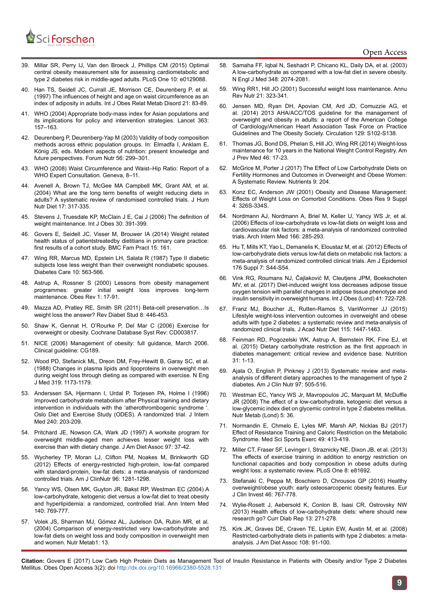

- 39. [Millar SR, Perry IJ, Van den Broeck J, Phillips CM \(2015\) Optimal](https://www.ncbi.nlm.nih.gov/pubmed/26042771)  [central obesity measurement site for assessing cardiometabolic and](https://www.ncbi.nlm.nih.gov/pubmed/26042771)  [type 2 diabetes risk in middle-aged adults. PLoS One 10: e0129088.](https://www.ncbi.nlm.nih.gov/pubmed/26042771)
- 40. [Han TS, Seidell JC, Currall JE, Morrison CE, Deurenberg P, et al.](https://www.ncbi.nlm.nih.gov/pubmed/9023607)  [\(1997\) The influences of height and age on waist circumference as an](https://www.ncbi.nlm.nih.gov/pubmed/9023607)  [index of adiposity in adults. Int J Obes Relat Metab Disord 21: 83-89.](https://www.ncbi.nlm.nih.gov/pubmed/9023607)
- 41. [WHO \(2004\) Appropriate body-mass index for Asian populations and](https://www.ncbi.nlm.nih.gov/pubmed/14726171)  [its implications for policy and intervention strategies. Lancet 363:](https://www.ncbi.nlm.nih.gov/pubmed/14726171)  [157–163.](https://www.ncbi.nlm.nih.gov/pubmed/14726171)
- 42. [Deurenberg P, Deurenberg-Yap M \(2003\) Validity of body composition](https://www.ncbi.nlm.nih.gov/pubmed/15806909)  [methods across ethnic population groups. In: Elmadfa I, Anklam E,](https://www.ncbi.nlm.nih.gov/pubmed/15806909)  [König JS, eds. Modern aspects of nutrition: present knowledge and](https://www.ncbi.nlm.nih.gov/pubmed/15806909)  [future perspectives. Forum Nutr 56: 299–301.](https://www.ncbi.nlm.nih.gov/pubmed/15806909)
- 43. [WHO \(2008\) Waist Circumference and Waist–Hip Ratio: Report of a](http://www.who.int/nutrition/publications/obesity/WHO_report_waistcircumference_and_waisthip_ratio/en/)  [WHO Expert Consultation. Geneva, 8–11.](http://www.who.int/nutrition/publications/obesity/WHO_report_waistcircumference_and_waisthip_ratio/en/)
- 44. [Avenell A, Brown TJ, McGee MA Campbell MK, Grant AM, et al.](https://www.ncbi.nlm.nih.gov/pubmed/15250842)  [\(2004\) What are the long term benefits of weight reducing diets in](https://www.ncbi.nlm.nih.gov/pubmed/15250842)  [adults? A systematic review of randomised controlled trials. J Hum](https://www.ncbi.nlm.nih.gov/pubmed/15250842)  [Nutr Diet 17: 317-335.](https://www.ncbi.nlm.nih.gov/pubmed/15250842)
- 45. [Stevens J, Truesdale KP, McClain J E, Cai J \(2006\) The definition of](https://www.ncbi.nlm.nih.gov/pubmed/16302013)  [weight maintenance. Int J Obes 30: 391-399.](https://www.ncbi.nlm.nih.gov/pubmed/16302013)
- 46. [Govers E, Seidell JC, Visser M, Brouwer IA \(2014\) Weight related](https://www.ncbi.nlm.nih.gov/pubmed/25257816)  [health status of patientstreatedby dietitians in primary care practice:](https://www.ncbi.nlm.nih.gov/pubmed/25257816)  [first results of a cohort study. BMC Fam Pract 15: 161.](https://www.ncbi.nlm.nih.gov/pubmed/25257816)
- 47. [Wing RR, Marcus MD, Epstein LH, Salata R \(1987\) Type II diabetic](https://www.ncbi.nlm.nih.gov/pubmed/3677974)  [subjects lose less weight than their overweight nondiabetic spouses.](https://www.ncbi.nlm.nih.gov/pubmed/3677974)  [Diabetes Care 10: 563-566.](https://www.ncbi.nlm.nih.gov/pubmed/3677974)
- 48. [Astrup A, Rossner S \(2000\) Lessons from obesity management](https://www.ncbi.nlm.nih.gov/pubmed/12119640)  [programmes: greater initial weight loss improves long-term](https://www.ncbi.nlm.nih.gov/pubmed/12119640)  [maintenance. Obes Rev 1: 17-91.](https://www.ncbi.nlm.nih.gov/pubmed/12119640)
- 49. [Mazza AD, Pratley RE, Smith SR \(2011\) Beta-cell preservation…Is](https://www.ncbi.nlm.nih.gov/pubmed/22580726)  [weight loss the answer? Rev Diabet Stud 8: 446-453.](https://www.ncbi.nlm.nih.gov/pubmed/22580726)
- 50. [Shaw K, Gennat H, O'Rourke P, Del Mar C \(2006\) Exercise for](https://www.ncbi.nlm.nih.gov/pubmed/17054187)  [overweight or obesity. Cochrane Database Syst Rev: CD003817.](https://www.ncbi.nlm.nih.gov/pubmed/17054187)
- 51. NICE (2006) Management of obesity: full guidance, March 2006. Clinical guideline: CG189.
- 52. [Wood PD, Stefanick ML, Dreon DM, Frey-Hewitt B, Garay SC, et al.](https://www.ncbi.nlm.nih.gov/pubmed/3173455)  [\(1988\) Changes in plasma lipids and lipoproteins in overweight men](https://www.ncbi.nlm.nih.gov/pubmed/3173455)  [during weight loss through dieting as compared with exercise. N Eng](https://www.ncbi.nlm.nih.gov/pubmed/3173455)  [J Med 319: 1173-1179.](https://www.ncbi.nlm.nih.gov/pubmed/3173455)
- 53. [Anderssen SA, Hjermann I, Urdal P, Torjesen PA,](https://www.ncbi.nlm.nih.gov/pubmed/8918511) Holme I (1996) [Improved carbohydrate metabolism after Physical training and dietary](https://www.ncbi.nlm.nih.gov/pubmed/8918511)  [intervention in individuals with the 'atherothrombogenic syndrome '.](https://www.ncbi.nlm.nih.gov/pubmed/8918511)  [Oslo Diet and Exercise Study \(ODES\). A randomized trial. J Intern](https://www.ncbi.nlm.nih.gov/pubmed/8918511)  [Med 240: 203-209.](https://www.ncbi.nlm.nih.gov/pubmed/8918511)
- 54. [Pritchard JE, Nowson CA, Wark JD \(1997\) A worksite program for](https://www.ncbi.nlm.nih.gov/pubmed/8990415)  [overweight middle-aged men achieves lesser weight loss with](https://www.ncbi.nlm.nih.gov/pubmed/8990415)  [exercise than with dietary change. J Am Diet Assoc 97: 37-42.](https://www.ncbi.nlm.nih.gov/pubmed/8990415)
- 55. [Wycherley TP, Moran LJ, Clifton PM, Noakes M, Brinkworth GD](https://www.ncbi.nlm.nih.gov/pubmed/23097268)  [\(2012\) Effects of energy-restricted high-protein, low-fat compared](https://www.ncbi.nlm.nih.gov/pubmed/23097268)  [with standard-protein, low-fat diets: a meta-analysis of randomized](https://www.ncbi.nlm.nih.gov/pubmed/23097268)  [controlled trials. Am J ClinNutr 96: 1281-1298.](https://www.ncbi.nlm.nih.gov/pubmed/23097268)
- 56. [Yancy WS, Olsen MK, Guyton JR, Bakst RP, Westman EC \(2004\) A](https://www.ncbi.nlm.nih.gov/pubmed/15148063)  [low-carbohydrate, ketogenic diet versus a low-fat diet to treat obesity](https://www.ncbi.nlm.nih.gov/pubmed/15148063)  [and hyperlipidemia: a randomized, controlled trial. Ann Intern Med](https://www.ncbi.nlm.nih.gov/pubmed/15148063)  [140: 769-777.](https://www.ncbi.nlm.nih.gov/pubmed/15148063)
- 57. [Volek JS, Sharman MJ, Gómez AL, Judelson DA, Rubin MR, et al.](https://www.ncbi.nlm.nih.gov/pmc/articles/PMC538279/)  [\(2004\) Comparison of energy-restricted very low-carbohydrate and](https://www.ncbi.nlm.nih.gov/pmc/articles/PMC538279/)  [low-fat diets on weight loss and body composition in overweight men](https://www.ncbi.nlm.nih.gov/pmc/articles/PMC538279/)  [and women. Nutr Metab1: 13.](https://www.ncbi.nlm.nih.gov/pmc/articles/PMC538279/)
- 58. [Samaha FF, Iqbal N, Seshadri P, Chicano KL, Daily DA, et al. \(2003\)](https://www.ncbi.nlm.nih.gov/pubmed/12761364) [A low-carbohydrate as compared with a low-fat diet in severe obesity.](https://www.ncbi.nlm.nih.gov/pubmed/12761364) [N Engl J Med 348: 2074-2081.](https://www.ncbi.nlm.nih.gov/pubmed/12761364)
- 59. [Wing RR1, Hill JO \(2001\) Successful weight loss maintenance. Annu](https://www.ncbi.nlm.nih.gov/pubmed/11375440) [Rev Nutr 21: 323-341.](https://www.ncbi.nlm.nih.gov/pubmed/11375440)
- 60. [Jensen MD, Ryan DH, Apovian CM, Ard JD, Comuzzie AG, et](https://www.ncbi.nlm.nih.gov/pubmed/24222017) [al. \(2014\) 2013 AHA/ACC/TOS guideline for the management of](https://www.ncbi.nlm.nih.gov/pubmed/24222017) [overweight and obesity in adults: a report of the American College](https://www.ncbi.nlm.nih.gov/pubmed/24222017) [of Cardiology/American Heart Association Task Force on Practice](https://www.ncbi.nlm.nih.gov/pubmed/24222017) [Guidelines and The Obesity Society. Circulation 129: S102-S138.](https://www.ncbi.nlm.nih.gov/pubmed/24222017)
- 61. [Thomas JG, Bond DS, Phelan S, Hill JO, Wing RR \(2014\) Weight-loss](https://www.ncbi.nlm.nih.gov/pubmed/24355667) [maintenance for 10 years in the National Weight Control Registry. Am](https://www.ncbi.nlm.nih.gov/pubmed/24355667) [J Prev Med 46: 17-23.](https://www.ncbi.nlm.nih.gov/pubmed/24355667)
- 62. [McGrice M, Porter J \(2017\) The Effect of Low Carbohydrate Diets on](https://www.ncbi.nlm.nih.gov/pubmed/28264433) [Fertility Hormones and Outcomes in Overweight and Obese Women:](https://www.ncbi.nlm.nih.gov/pubmed/28264433) [A Systematic Review. Nutrients 9: 204.](https://www.ncbi.nlm.nih.gov/pubmed/28264433)
- 63. [Konz EC, Anderson JW \(2001\) Obesity and Disease Management:](https://www.ncbi.nlm.nih.gov/pubmed/11707561) [Effects of Weight Loss on Comorbid Conditions.](https://www.ncbi.nlm.nih.gov/pubmed/11707561) Obes Res 9 Suppl [4: 326S-334S.](https://www.ncbi.nlm.nih.gov/pubmed/11707561)
- 64. [Nordmann AJ, Nordmann A, Briel M, Keller U, Yancy WS Jr, et al.](https://www.ncbi.nlm.nih.gov/pubmed/16476868) [\(2006\) Effects of low-carbohydrate vs low-fat diets on weight loss and](https://www.ncbi.nlm.nih.gov/pubmed/16476868) [cardiovascular risk factors: a meta-analysis of randomized controlled](https://www.ncbi.nlm.nih.gov/pubmed/16476868) [trials. Arch Intern Med 166: 285-293.](https://www.ncbi.nlm.nih.gov/pubmed/16476868)
- 65. [Hu T, Mills KT, Yao L, Demanelis K, Eloustaz M, et al. \(2012\) Effects of](https://www.ncbi.nlm.nih.gov/pubmed/23035144) [low-carbohydrate diets versus low-fat diets on metabolic risk factors: a](https://www.ncbi.nlm.nih.gov/pubmed/23035144) [meta-analysis of randomized controlled clinical trials. Am J Epidemiol](https://www.ncbi.nlm.nih.gov/pubmed/23035144) [176 Suppl 7: S44-S54.](https://www.ncbi.nlm.nih.gov/pubmed/23035144)
- 66. [Vink RG, Roumans NJ, Čajlaković M, Cleutjens JPM, Boekschoten](https://www.ncbi.nlm.nih.gov/pubmed/28179648) [MV, et al. \(2017\) Diet-induced weight loss decreases adipose tissue](https://www.ncbi.nlm.nih.gov/pubmed/28179648) [oxygen tension with parallel changes in adipose tissue phenotype and](https://www.ncbi.nlm.nih.gov/pubmed/28179648) [insulin sensitivity in overweight humans. Int J Obes \(Lond\) 41: 722-728.](https://www.ncbi.nlm.nih.gov/pubmed/28179648)
- 67. [Franz MJ, Boucher JL, Rutten-Ramos S, VanWormer JJ \(2015\)](https://www.ncbi.nlm.nih.gov/pubmed/25935570) [Lifestyle weight-loss intervention outcomes in overweight and obese](https://www.ncbi.nlm.nih.gov/pubmed/25935570) [adults with type 2 diabetes: a systematic review and meta-analysis of](https://www.ncbi.nlm.nih.gov/pubmed/25935570) [randomized clinical trials. J Acad Nutr Diet 115: 1447-1463.](https://www.ncbi.nlm.nih.gov/pubmed/25935570)
- 68. [Feinman RD, Pogozelski WK, Astrup A, Bernstein RK, Fine EJ, et](https://www.ncbi.nlm.nih.gov/pubmed/25287761) [al. \(2015\) Dietary carbohydrate restriction as the first approach in](https://www.ncbi.nlm.nih.gov/pubmed/25287761) [diabetes management: critical review and evidence base. Nutrition](https://www.ncbi.nlm.nih.gov/pubmed/25287761) [31: 1-13.](https://www.ncbi.nlm.nih.gov/pubmed/25287761)
- 69. [Ajala O, English P, Pinkney J \(2013\) Systematic review and meta](https://www.ncbi.nlm.nih.gov/pubmed/23364002)[analysis of different dietary approaches to the management of type 2](https://www.ncbi.nlm.nih.gov/pubmed/23364002) [diabetes. Am J Clin Nutr 97: 505-516.](https://www.ncbi.nlm.nih.gov/pubmed/23364002)
- 70. [Westman EC, Yancy WS Jr, Mavropoulos JC, Marquart M, McDuffie](https://www.ncbi.nlm.nih.gov/pubmed/19099589) [JR \(2008\) The effect of a low-carbohydrate, ketogenic diet versus a](https://www.ncbi.nlm.nih.gov/pubmed/19099589) [low-glycemic index diet on glycemic control in type 2 diabetes mellitus.](https://www.ncbi.nlm.nih.gov/pubmed/19099589) [Nutr Metab \(Lond\) 5: 36.](https://www.ncbi.nlm.nih.gov/pubmed/19099589)
- 71. [Normandin E, Chmelo E, Lyles MF, Marsh AP, Nicklas BJ \(2017\)](https://www.ncbi.nlm.nih.gov/pubmed/27741216) [Effect of Resistance Training and Caloric Restriction on the Metabolic](https://www.ncbi.nlm.nih.gov/pubmed/27741216) [Syndrome. Med Sci Sports Exerc 49: 413-419.](https://www.ncbi.nlm.nih.gov/pubmed/27741216)
- 72. [Miller CT, Fraser SF, Levinger I, Straznicky NE, Dixon JB, et al. \(2013\)](https://www.ncbi.nlm.nih.gov/pubmed/24409219) [The effects of exercise training in addition to energy restriction on](https://www.ncbi.nlm.nih.gov/pubmed/24409219) [functional capacities and body composition in obese adults during](https://www.ncbi.nlm.nih.gov/pubmed/24409219) [weight loss: a systematic review. PLoS One 8: e81692.](https://www.ncbi.nlm.nih.gov/pubmed/24409219)
- 73. [Stefanaki C, Peppa M, Boschiero D, Chrousos GP \(2016\) Healthy](https://www.ncbi.nlm.nih.gov/pubmed/27434725) [overweight/obese youth: early osteosarcopenic obesity features. Eur](https://www.ncbi.nlm.nih.gov/pubmed/27434725) [J Clin Invest 46: 767-778.](https://www.ncbi.nlm.nih.gov/pubmed/27434725)
- 74. [Wylie-Rosett J, Aebersold K, Conlon B, Isasi CR, Ostrovsky NW](https://www.ncbi.nlm.nih.gov/pubmed/23266565) [\(2013\) Health effects of low-carbohydrate diets: where should new](https://www.ncbi.nlm.nih.gov/pubmed/23266565) [research go? Curr Diab Rep 13: 271-278.](https://www.ncbi.nlm.nih.gov/pubmed/23266565)
- 75. [Kirk JK, Graves DE, Craven TE, Lipkin EW, Austin M, et al. \(2008\)](https://www.ncbi.nlm.nih.gov/pubmed/18155993) [Restricted-carbohydrate diets in patients with type 2 diabetes: a meta](https://www.ncbi.nlm.nih.gov/pubmed/18155993)[analysis. J Am Diet Assoc 108: 91-100.](https://www.ncbi.nlm.nih.gov/pubmed/18155993)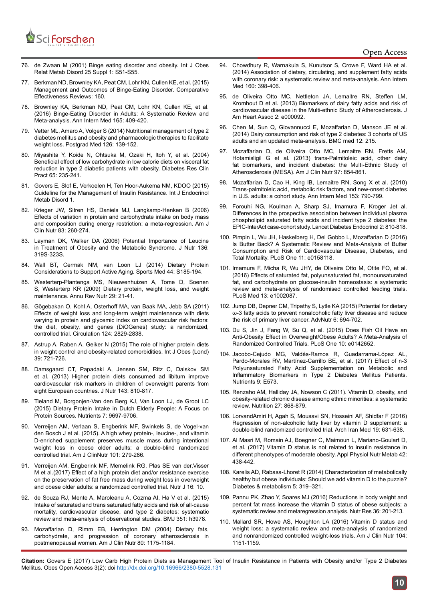

## Open Access

- 76. [de Zwaan M \(2001\) Binge eating disorder and obesity. Int J Obes](https://www.ncbi.nlm.nih.gov/pubmed/11466589)  [Relat Metab Disord 25 Suppl 1: S51-S55.](https://www.ncbi.nlm.nih.gov/pubmed/11466589)
- 77. [Berkman ND, Brownley KA, Peat CM, Lohr KN, Cullen KE, et al. \(2015\)](https://www.ncbi.nlm.nih.gov/pubmedhealth/PMH0084317/)  [Management and Outcomes of Binge-Eating Disorder. Comparative](https://www.ncbi.nlm.nih.gov/pubmedhealth/PMH0084317/)  [Effectiveness Reviews: 160.](https://www.ncbi.nlm.nih.gov/pubmedhealth/PMH0084317/)
- 78. [Brownley KA, Berkman ND, Peat CM, Lohr KN, Cullen KE, et al.](https://www.ncbi.nlm.nih.gov/pubmed/27367316)  [\(2016\) Binge-Eating Disorder in Adults: A Systematic Review and](https://www.ncbi.nlm.nih.gov/pubmed/27367316)  [Meta-analysis. Ann Intern Med 165: 409-420.](https://www.ncbi.nlm.nih.gov/pubmed/27367316)
- 79. [Vetter ML, Amaro A, Volger S \(2014\) Nutritional management of type 2](https://www.ncbi.nlm.nih.gov/pubmed/24393761)  [diabetes mellitus and obesity and pharmacologic therapies to facilitate](https://www.ncbi.nlm.nih.gov/pubmed/24393761)  [weight loss. Postgrad Med 126: 139-152.](https://www.ncbi.nlm.nih.gov/pubmed/24393761)
- 80. [Miyashita Y, Koide N, Ohtsuka M, Ozaki H, Itoh Y, et al. \(2004\)](https://www.ncbi.nlm.nih.gov/pubmed/15331203)  [Beneficial effect of low carbohydrate in low calorie diets on visceral fat](https://www.ncbi.nlm.nih.gov/pubmed/15331203)  [reduction in type 2 diabetic patients with obesity. Diabetes Res Clin](https://www.ncbi.nlm.nih.gov/pubmed/15331203)  [Pract 65: 235-241.](https://www.ncbi.nlm.nih.gov/pubmed/15331203)
- 81. [Govers E, Slof E, Verkoelen H, Ten Hoor-Aukema NM, KDOO \(2015\)](https://www.harrietverkoelen.nl/media/IJEMD-1-115.pdf)  [Guideline for the Management of Insulin Resistance. Int J Endocrinol](https://www.harrietverkoelen.nl/media/IJEMD-1-115.pdf)  [Metab Disord 1.](https://www.harrietverkoelen.nl/media/IJEMD-1-115.pdf)
- 82. [Krieger JW, Sitren HS, Daniels MJ, Langkamp-Henken B \(2006\)](Krieger JW, Sitren HS, Daniels MJ, Langkamp-Henken B (2006) Effects of variation in protein and carbohydrate intake on body mass and composition during energy restriction: a meta-regression. Am J Clin Nutr.83: 260-274.)  [Effects of variation in protein and carbohydrate intake on body mass](Krieger JW, Sitren HS, Daniels MJ, Langkamp-Henken B (2006) Effects of variation in protein and carbohydrate intake on body mass and composition during energy restriction: a meta-regression. Am J Clin Nutr.83: 260-274.)  [and composition during energy restriction: a meta-regression. Am J](Krieger JW, Sitren HS, Daniels MJ, Langkamp-Henken B (2006) Effects of variation in protein and carbohydrate intake on body mass and composition during energy restriction: a meta-regression. Am J Clin Nutr.83: 260-274.)  [Clin Nutr 83: 260-274.](Krieger JW, Sitren HS, Daniels MJ, Langkamp-Henken B (2006) Effects of variation in protein and carbohydrate intake on body mass and composition during energy restriction: a meta-regression. Am J Clin Nutr.83: 260-274.)
- 83. [Layman DK, Walker DA \(2006\) Potential Importance of Leucine](Layman DK, Walker DA (2006) Potential Importance of Leucine in Treatment of Obesity and the Metabolic Syndrome. J Nutr. 136: 319S-323S.)  [in Treatment of Obesity and the Metabolic Syndrome. J Nutr 136:](Layman DK, Walker DA (2006) Potential Importance of Leucine in Treatment of Obesity and the Metabolic Syndrome. J Nutr. 136: 319S-323S.)  [319S-323S.](Layman DK, Walker DA (2006) Potential Importance of Leucine in Treatment of Obesity and the Metabolic Syndrome. J Nutr. 136: 319S-323S.)
- 84. [Wall BT, Cermak NM, van Loon LJ \(2014\) Dietary Protein](Wall BT, Cermak NM, van Loon LJ (2014) Dietary Protein Considerations to Support Active Aging. Sports Med. 44: S185-194.)  [Considerations to Support Active Aging. Sports Med 44: S185-194.](Wall BT, Cermak NM, van Loon LJ (2014) Dietary Protein Considerations to Support Active Aging. Sports Med. 44: S185-194.)
- 85. [Westerterp-Plantenga MS, Nieuwenhuizen A, Tome D, Soenen](Westerterp-Plantenga MS, Nieuwenhuizen A, Tome D, Soenen S, Westerterp KR (2009) Dietary protein, weight loss, and weight maintenance. Annu Rev Nutr. 29: 21-41)  [S, Westerterp KR \(2009\) Dietary protein, weight loss, and weight](Westerterp-Plantenga MS, Nieuwenhuizen A, Tome D, Soenen S, Westerterp KR (2009) Dietary protein, weight loss, and weight maintenance. Annu Rev Nutr. 29: 21-41)  [maintenance. Annu Rev Nutr 29: 21-41](Westerterp-Plantenga MS, Nieuwenhuizen A, Tome D, Soenen S, Westerterp KR (2009) Dietary protein, weight loss, and weight maintenance. Annu Rev Nutr. 29: 21-41).
- 86. [Gögebakan O, Kohl A, Osterhoff MA, van Baak MA, Jebb SA \(2011\)](G�gebakan O, Kohl A, Osterhoff MA, van Baak MA, Jebb SA (2011) Effects of weight loss and long-term weight maintenance with diets varying in protein and glycemic index on cardiovascular risk factors: the diet, obesity, and genes (DiOGenes) study: a randomi)  [Effects of weight loss and long-term weight maintenance with diets](G�gebakan O, Kohl A, Osterhoff MA, van Baak MA, Jebb SA (2011) Effects of weight loss and long-term weight maintenance with diets varying in protein and glycemic index on cardiovascular risk factors: the diet, obesity, and genes (DiOGenes) study: a randomi)  [varying in protein and glycemic index on cardiovascular risk factors:](G�gebakan O, Kohl A, Osterhoff MA, van Baak MA, Jebb SA (2011) Effects of weight loss and long-term weight maintenance with diets varying in protein and glycemic index on cardiovascular risk factors: the diet, obesity, and genes (DiOGenes) study: a randomi)  [the diet, obesity, and genes \(DiOGenes\) study: a randomized,](G�gebakan O, Kohl A, Osterhoff MA, van Baak MA, Jebb SA (2011) Effects of weight loss and long-term weight maintenance with diets varying in protein and glycemic index on cardiovascular risk factors: the diet, obesity, and genes (DiOGenes) study: a randomi)  [controlled trial. Circulation 124: 2829-2838.](G�gebakan O, Kohl A, Osterhoff MA, van Baak MA, Jebb SA (2011) Effects of weight loss and long-term weight maintenance with diets varying in protein and glycemic index on cardiovascular risk factors: the diet, obesity, and genes (DiOGenes) study: a randomi)
- 87. [Astrup A, Raben A, Geiker N \(2015\) The role of higher protein diets](Astrup A, Raben A, Geiker N (2015) The role of higher protein diets in weight control and obesity-related comorbidities. Int J Obes (Lond). 39:721-726.)  [in weight control and obesity-related comorbidities. Int J Obes \(Lond\)](Astrup A, Raben A, Geiker N (2015) The role of higher protein diets in weight control and obesity-related comorbidities. Int J Obes (Lond). 39:721-726.)  [39: 721-726.](Astrup A, Raben A, Geiker N (2015) The role of higher protein diets in weight control and obesity-related comorbidities. Int J Obes (Lond). 39:721-726.)
- 88. [Damsgaard CT, Papadaki A, Jensen SM, Ritz C, Dalskov SM](Damsgaard CT, Papadaki A, Jensen SM, Ritz C, Dalskov SM (2013) Higher protein diets consumed ad libitum improve cardiovascular risk markers in children of overweight parents from eight European countries. J Nutr. 143: 810-817)  [et al. \(2013\) Higher protein diets consumed ad libitum improve](Damsgaard CT, Papadaki A, Jensen SM, Ritz C, Dalskov SM (2013) Higher protein diets consumed ad libitum improve cardiovascular risk markers in children of overweight parents from eight European countries. J Nutr. 143: 810-817)  [cardiovascular risk markers in children of overweight parents from](Damsgaard CT, Papadaki A, Jensen SM, Ritz C, Dalskov SM (2013) Higher protein diets consumed ad libitum improve cardiovascular risk markers in children of overweight parents from eight European countries. J Nutr. 143: 810-817)  [eight European countries. J Nutr 143: 810-817](Damsgaard CT, Papadaki A, Jensen SM, Ritz C, Dalskov SM (2013) Higher protein diets consumed ad libitum improve cardiovascular risk markers in children of overweight parents from eight European countries. J Nutr. 143: 810-817).
- 89. [Tieland M, Borgonjen-Van den Berg KJ, Van Loon LJ, de Groot LC](Tieland M, Borgonjen-Van den Berg KJ, Van Loon LJ, de Groot LC (2015) Dietary Protein Intake in Dutch Elderly People: A Focus on Protein Sources. Nutrients. 7: 9697-9706.)  [\(2015\) Dietary Protein Intake in Dutch Elderly People: A Focus on](Tieland M, Borgonjen-Van den Berg KJ, Van Loon LJ, de Groot LC (2015) Dietary Protein Intake in Dutch Elderly People: A Focus on Protein Sources. Nutrients. 7: 9697-9706.)  [Protein Sources. Nutrients 7: 9697-9706.](Tieland M, Borgonjen-Van den Berg KJ, Van Loon LJ, de Groot LC (2015) Dietary Protein Intake in Dutch Elderly People: A Focus on Protein Sources. Nutrients. 7: 9697-9706.)
- 90. [Verreijen AM, Verlaan S, Engberink MF, Swinkels S, de Vogel-van](http://ajcn.nutrition.org/content/early/2014/11/26/ajcn.114.090290)  [den Bosch J et al. \(2015\). A high whey protein-, leucine-, and vitamin](http://ajcn.nutrition.org/content/early/2014/11/26/ajcn.114.090290)  [D-enriched supplement preserves muscle mass during intentional](http://ajcn.nutrition.org/content/early/2014/11/26/ajcn.114.090290)  [weight loss in obese older adults: a double-blind randomized](http://ajcn.nutrition.org/content/early/2014/11/26/ajcn.114.090290)  [controlled trial. Am J ClinNutr 101: 279-286.](http://ajcn.nutrition.org/content/early/2014/11/26/ajcn.114.090290)
- 91. [Verreijen AM, Engberink MF, Memelink RG, Plas SE van der,Visser](https://www.ncbi.nlm.nih.gov/pubmed/28166780)  M et al.(2017) [Effect of a high protein diet and/or resistance exercise](https://www.ncbi.nlm.nih.gov/pubmed/28166780)  [on the preservation of fat free mass during weight loss in overweight](https://www.ncbi.nlm.nih.gov/pubmed/28166780)  [and obese older adults: a randomized controlled trial. Nutr J 16: 10.](https://www.ncbi.nlm.nih.gov/pubmed/28166780)
- 92. [de Souza RJ, Mente A, Maroleanu A, Cozma AI, Ha V et al. \(2015\)](https://www.ncbi.nlm.nih.gov/pubmed/?term=de+Souza+RJ%2C+Mente+A%2C+Maroleanu+A%2C+Cozma+AI%2C+Ha+V+et+al.)  [Intake of saturated and trans saturated fatty acids and risk of all-cause](https://www.ncbi.nlm.nih.gov/pubmed/?term=de+Souza+RJ%2C+Mente+A%2C+Maroleanu+A%2C+Cozma+AI%2C+Ha+V+et+al.)  [mortality, cardiovascular disease, and type 2 diabetes: systematic](https://www.ncbi.nlm.nih.gov/pubmed/?term=de+Souza+RJ%2C+Mente+A%2C+Maroleanu+A%2C+Cozma+AI%2C+Ha+V+et+al.)  [review and meta-analysis of observational studies. BMJ 351: h3978.](https://www.ncbi.nlm.nih.gov/pubmed/?term=de+Souza+RJ%2C+Mente+A%2C+Maroleanu+A%2C+Cozma+AI%2C+Ha+V+et+al.)
- 93. [Mozaffarian D, Rimm EB, Herrington DM \(2004\) Dietary fats,](Mozaffarian D, Rimm EB, Herrington DM (2004) Dietary fats, carbohydrate, and progression of coronary atherosclerosis in postmenopausal women. Am J Clin Nutr. 80:1175-1184.)  [carbohydrate, and progression of coronary atherosclerosis in](Mozaffarian D, Rimm EB, Herrington DM (2004) Dietary fats, carbohydrate, and progression of coronary atherosclerosis in postmenopausal women. Am J Clin Nutr. 80:1175-1184.)  [postmenopausal women. Am J Clin Nutr 80: 1175-1184.](Mozaffarian D, Rimm EB, Herrington DM (2004) Dietary fats, carbohydrate, and progression of coronary atherosclerosis in postmenopausal women. Am J Clin Nutr. 80:1175-1184.)
- 94. [Chowdhury R, Warnakula S, Kunutsor S, Crowe F, Ward HA et al.](Chowdhury R, Warnakula S, Kunutsor S, Crowe F, Ward HA et al. (2014) Association of dietary, circulating, and supplement fatty acids with coronary risk: a systematic review and meta-analysis. Ann Intern Med. 160: 398-406.) [\(2014\) Association of dietary, circulating, and supplement fatty acids](Chowdhury R, Warnakula S, Kunutsor S, Crowe F, Ward HA et al. (2014) Association of dietary, circulating, and supplement fatty acids with coronary risk: a systematic review and meta-analysis. Ann Intern Med. 160: 398-406.) [with coronary risk: a systematic review and meta-analysis. Ann Intern](Chowdhury R, Warnakula S, Kunutsor S, Crowe F, Ward HA et al. (2014) Association of dietary, circulating, and supplement fatty acids with coronary risk: a systematic review and meta-analysis. Ann Intern Med. 160: 398-406.) [Med 160: 398-406.](Chowdhury R, Warnakula S, Kunutsor S, Crowe F, Ward HA et al. (2014) Association of dietary, circulating, and supplement fatty acids with coronary risk: a systematic review and meta-analysis. Ann Intern Med. 160: 398-406.)
- 95. [de Oliveira Otto MC, Nettleton JA, Lemaitre RN, Steffen LM,](de Oliveira Otto MC, Nettleton JA, Lemaitre RN, Steffen LM, Kromhout D et al. (2013) Biomarkers of dairy fatty acids and risk of cardiovascular disease in the Multi-ethnic Study of Atherosclerosis. J Am Heart Assoc. 2: e000092.) [Kromhout D et al. \(2013\) Biomarkers of dairy fatty acids and risk of](de Oliveira Otto MC, Nettleton JA, Lemaitre RN, Steffen LM, Kromhout D et al. (2013) Biomarkers of dairy fatty acids and risk of cardiovascular disease in the Multi-ethnic Study of Atherosclerosis. J Am Heart Assoc. 2: e000092.) [cardiovascular disease in the Multi-ethnic Study of Atherosclerosis. J](de Oliveira Otto MC, Nettleton JA, Lemaitre RN, Steffen LM, Kromhout D et al. (2013) Biomarkers of dairy fatty acids and risk of cardiovascular disease in the Multi-ethnic Study of Atherosclerosis. J Am Heart Assoc. 2: e000092.) [Am Heart Assoc 2: e000092.](de Oliveira Otto MC, Nettleton JA, Lemaitre RN, Steffen LM, Kromhout D et al. (2013) Biomarkers of dairy fatty acids and risk of cardiovascular disease in the Multi-ethnic Study of Atherosclerosis. J Am Heart Assoc. 2: e000092.)
- 96. [Chen M, Sun Q, Giovannucci E, Mozaffarian D, Manson JE et al.](https://www.ncbi.nlm.nih.gov/pmc/articles/PMC4243376/) [\(2014\) Dairy consumption and risk of type 2 diabetes: 3 cohorts of US](https://www.ncbi.nlm.nih.gov/pmc/articles/PMC4243376/) [adults and an updated meta-analysis. BMC med 12: 215.](https://www.ncbi.nlm.nih.gov/pmc/articles/PMC4243376/)
- 97. [Mozaffarian D, de Oliveira Otto MC, Lemaitre RN, Fretts AM,](Mozaffarian D, de Oliveira Otto MC, Lemaitre RN, Fretts AM, Hotamisligil G et al. (2013) trans-Palmitoleic acid, other dairy fat biomarkers, and incident diabetes: the Multi-Ethnic Study of Atherosclerosis (MESA). Am J Clin Nutr. 97: 854-861.) [Hotamisligil G et al. \(2013\) trans-Palmitoleic acid, other dairy](Mozaffarian D, de Oliveira Otto MC, Lemaitre RN, Fretts AM, Hotamisligil G et al. (2013) trans-Palmitoleic acid, other dairy fat biomarkers, and incident diabetes: the Multi-Ethnic Study of Atherosclerosis (MESA). Am J Clin Nutr. 97: 854-861.) [fat biomarkers, and incident diabetes: the Multi-Ethnic Study of](Mozaffarian D, de Oliveira Otto MC, Lemaitre RN, Fretts AM, Hotamisligil G et al. (2013) trans-Palmitoleic acid, other dairy fat biomarkers, and incident diabetes: the Multi-Ethnic Study of Atherosclerosis (MESA). Am J Clin Nutr. 97: 854-861.) [Atherosclerosis \(MESA\). Am J Clin Nutr 97: 854-861.](Mozaffarian D, de Oliveira Otto MC, Lemaitre RN, Fretts AM, Hotamisligil G et al. (2013) trans-Palmitoleic acid, other dairy fat biomarkers, and incident diabetes: the Multi-Ethnic Study of Atherosclerosis (MESA). Am J Clin Nutr. 97: 854-861.)
- 98. [Mozaffarian D, Cao H, King IB, Lemaitre RN, Song X et al. \(2010\)](Mozaffarian D, Cao H, King IB, Lemaitre RN, Song X et al. (2010) Trans-palmitoleic acid, metabolic risk factors, and new-onset diabetes in U.S. adults: a cohort study. Ann Intern Med. 153: 790-799.) [Trans-palmitoleic acid, metabolic risk factors, and new-onset diabetes](Mozaffarian D, Cao H, King IB, Lemaitre RN, Song X et al. (2010) Trans-palmitoleic acid, metabolic risk factors, and new-onset diabetes in U.S. adults: a cohort study. Ann Intern Med. 153: 790-799.) [in U.S. adults: a cohort study. Ann Intern Med 153: 790-799.](Mozaffarian D, Cao H, King IB, Lemaitre RN, Song X et al. (2010) Trans-palmitoleic acid, metabolic risk factors, and new-onset diabetes in U.S. adults: a cohort study. Ann Intern Med. 153: 790-799.)
- 99. [Forouhi NG, Koulman A, Sharp SJ, Imamura F, Kroger Jet al.](https://www.ncbi.nlm.nih.gov/pubmed/25107467) [Differences in the prospective association between individual plasma](https://www.ncbi.nlm.nih.gov/pubmed/25107467) [phospholipid saturated fatty acids and incident type 2 diabetes: the](https://www.ncbi.nlm.nih.gov/pubmed/25107467) [EPIC-InterAct case-cohort study. Lancet Diabetes Endocrinol 2: 810-818.](https://www.ncbi.nlm.nih.gov/pubmed/25107467)
- 100. [Pimpin L, Wu JH, Haskelberg H, Del Gobbo L, Mozaffarian D \(2016\)](Pimpin L, Wu JH, Haskelberg H, Del Gobbo L, Mozaffarian D (2016) Is Butter Back? A Systematic Review and Meta-Analysis of Butter Consumption and Risk of Cardiovascular Disease, Diabetes, and Total Mortality. PLoS One.11: e0158118.) [Is Butter Back? A Systematic Review and Meta-Analysis of Butter](Pimpin L, Wu JH, Haskelberg H, Del Gobbo L, Mozaffarian D (2016) Is Butter Back? A Systematic Review and Meta-Analysis of Butter Consumption and Risk of Cardiovascular Disease, Diabetes, and Total Mortality. PLoS One.11: e0158118.) [Consumption and Risk of Cardiovascular Disease, Diabetes, and](Pimpin L, Wu JH, Haskelberg H, Del Gobbo L, Mozaffarian D (2016) Is Butter Back? A Systematic Review and Meta-Analysis of Butter Consumption and Risk of Cardiovascular Disease, Diabetes, and Total Mortality. PLoS One.11: e0158118.) [Total Mortality. PLoS One 11: e0158118.](Pimpin L, Wu JH, Haskelberg H, Del Gobbo L, Mozaffarian D (2016) Is Butter Back? A Systematic Review and Meta-Analysis of Butter Consumption and Risk of Cardiovascular Disease, Diabetes, and Total Mortality. PLoS One.11: e0158118.)
- 101. [Imamura F, Micha R, Wu JHY, de Oliveira Otto M, Otite FO, et al.](https://www.ncbi.nlm.nih.gov/pubmed/27434027) [\(2016\) Effects of saturated fat, polyunsaturated fat, monounsaturated](https://www.ncbi.nlm.nih.gov/pubmed/27434027) [fat, and carbohydrate on glucose-insulin homeostasis: a systematic](https://www.ncbi.nlm.nih.gov/pubmed/27434027) [review and meta-analysis of randomised controlled feeding trials.](https://www.ncbi.nlm.nih.gov/pubmed/27434027) [PLoS Med 13: e1002087.](https://www.ncbi.nlm.nih.gov/pubmed/27434027)
- 102. [Jump DB, Depner CM, Tripathy S, Lytle KA \(2015\) Potential for dietary](https://www.ncbi.nlm.nih.gov/pubmed/26567194) [ω-3 fatty acids to prevent nonalcoholic fatty liver disease and reduce](https://www.ncbi.nlm.nih.gov/pubmed/26567194) [the risk of primary liver cancer. AdvNutr 6: 694-702.](https://www.ncbi.nlm.nih.gov/pubmed/26567194)
- 103. [Du S, Jin J, Fang W, Su Q, et al. \(2015\) Does Fish Oil Have an](https://www.ncbi.nlm.nih.gov/pubmed/26571503) [Anti-Obesity Effect in Overweight/Obese Adults? A Meta-Analysis of](https://www.ncbi.nlm.nih.gov/pubmed/26571503) [Randomized Controlled Trials. PLoS One 10: e0142652.](https://www.ncbi.nlm.nih.gov/pubmed/26571503)
- 104. [Jacobo-Cejudo MG, Valdés-Ramos R, Guadarrama-López AL,](https://www.ncbi.nlm.nih.gov/pubmed/28587203) [Pardo-Morales RV, Martínez-Carrillo BE, et al. \(2017\) Effect of n-3](https://www.ncbi.nlm.nih.gov/pubmed/28587203) [Polyunsaturated Fatty Acid Supplementation on Metabolic and](https://www.ncbi.nlm.nih.gov/pubmed/28587203) [Inflammatory Biomarkers in Type 2 Diabetes Mellitus Patients.](https://www.ncbi.nlm.nih.gov/pubmed/28587203) [Nutrients 9: E573.](https://www.ncbi.nlm.nih.gov/pubmed/28587203)
- 105. [Renzaho AM, Halliday JA, Nowson C \(2011\). Vitamin D, obesity, and](https://www.ncbi.nlm.nih.gov/pubmed/21704500) [obesity-related chronic disease among ethnic minorities: a systematic](https://www.ncbi.nlm.nih.gov/pubmed/21704500) [review. Nutrition 27: 868-879.](https://www.ncbi.nlm.nih.gov/pubmed/21704500)
- 106. [LorvandAmiri H, Agah S, Mousavi SN, Hosseini AF, Shidfar F \(2016\)](https://www.ncbi.nlm.nih.gov/pubmed/27631178) [Regression of non-alcoholic fatty liver by vitamin D supplement: a](https://www.ncbi.nlm.nih.gov/pubmed/27631178) [double-blind randomized controlled trial. Arch Iran Med 19: 631-638.](https://www.ncbi.nlm.nih.gov/pubmed/27631178)
- 107. [Al Masri M, Romain AJ, Boegner C, Maimoun L, Mariano-Goulart D,](https://www.ncbi.nlm.nih.gov/pubmed/28177726) [et al. \(2017\) Vitamin D status is not related to insulin resistance in](https://www.ncbi.nlm.nih.gov/pubmed/28177726) [different phenotypes of moderate obesity. Appl Physiol Nutr Metab 42:](https://www.ncbi.nlm.nih.gov/pubmed/28177726) [438-442.](https://www.ncbi.nlm.nih.gov/pubmed/28177726)
- 108. [Karelis AD, Rabasa-Lhoret R \(2014\) Characterization of metabolically](http://www.diabet-metabolism.com/article/S1262-3636(14)00048-2/abstract) [healthy but obese individuals: Should we add vitamin D to the puzzle?](http://www.diabet-metabolism.com/article/S1262-3636(14)00048-2/abstract) [Diabetes & metabolism 5: 319–321.](http://www.diabet-metabolism.com/article/S1262-3636(14)00048-2/abstract)
- 109. [Pannu PK, Zhao Y, Soares MJ \(2016\) Reductions in body weight and](https://www.ncbi.nlm.nih.gov/pubmed/26923506) [percent fat mass increase the vitamin D status of obese subjects: a](https://www.ncbi.nlm.nih.gov/pubmed/26923506) [systematic review and metaregression analysis. Nutr Res 36: 201-213.](https://www.ncbi.nlm.nih.gov/pubmed/26923506)
- 110. [Mallard SR, Howe AS, Houghton LA \(2016\) Vitamin D status and](http://ajcn.nutrition.org/content/early/2016/09/06/ajcn.116.136879.abstract) [weight loss: a systematic review and meta-analysis of randomized](http://ajcn.nutrition.org/content/early/2016/09/06/ajcn.116.136879.abstract) [and nonrandomized controlled weight-loss trials. Am J Clin Nutr 104:](http://ajcn.nutrition.org/content/early/2016/09/06/ajcn.116.136879.abstract) [1151-1159.](http://ajcn.nutrition.org/content/early/2016/09/06/ajcn.116.136879.abstract)